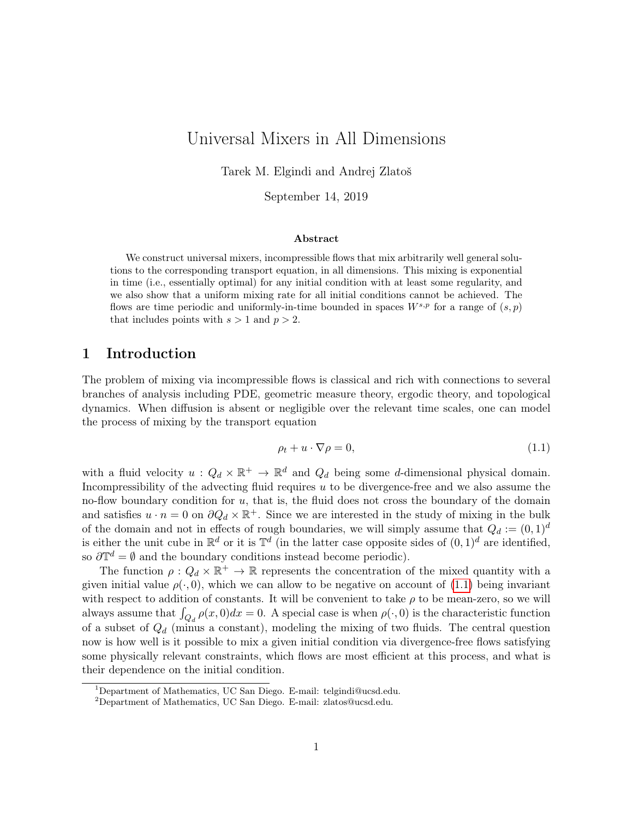# <span id="page-0-1"></span>Universal Mixers in All Dimensions

Tarek M. Elgindi and Andrej Zlatoš

September 14, 2019

#### Abstract

We construct universal mixers, incompressible flows that mix arbitrarily well general solutions to the corresponding transport equation, in all dimensions. This mixing is exponential in time (i.e., essentially optimal) for any initial condition with at least some regularity, and we also show that a uniform mixing rate for all initial conditions cannot be achieved. The flows are time periodic and uniformly-in-time bounded in spaces  $W^{s,p}$  for a range of  $(s,p)$ that includes points with  $s > 1$  and  $p > 2$ .

## 1 Introduction

The problem of mixing via incompressible flows is classical and rich with connections to several branches of analysis including PDE, geometric measure theory, ergodic theory, and topological dynamics. When diffusion is absent or negligible over the relevant time scales, one can model the process of mixing by the transport equation

<span id="page-0-0"></span>
$$
\rho_t + u \cdot \nabla \rho = 0,\tag{1.1}
$$

with a fluid velocity  $u: Q_d \times \mathbb{R}^+ \to \mathbb{R}^d$  and  $Q_d$  being some d-dimensional physical domain. Incompressibility of the advecting fluid requires  $u$  to be divergence-free and we also assume the no-flow boundary condition for  $u$ , that is, the fluid does not cross the boundary of the domain and satisfies  $u \cdot n = 0$  on  $\partial Q_d \times \mathbb{R}^+$ . Since we are interested in the study of mixing in the bulk of the domain and not in effects of rough boundaries, we will simply assume that  $Q_d := (0, 1)^d$ is either the unit cube in  $\mathbb{R}^d$  or it is  $\mathbb{T}^d$  (in the latter case opposite sides of  $(0,1)^d$  are identified, so  $\partial \mathbb{T}^d = \emptyset$  and the boundary conditions instead become periodic).

The function  $\rho: Q_d \times \mathbb{R}^+ \to \mathbb{R}$  represents the concentration of the mixed quantity with a given initial value  $\rho(\cdot, 0)$ , which we can allow to be negative on account of [\(1.1\)](#page-0-0) being invariant with respect to addition of constants. It will be convenient to take  $\rho$  to be mean-zero, so we will always assume that  $\int_{Q_d} \rho(x,0)dx = 0$ . A special case is when  $\rho(\cdot,0)$  is the characteristic function of a subset of  $Q_d$  (minus a constant), modeling the mixing of two fluids. The central question now is how well is it possible to mix a given initial condition via divergence-free flows satisfying some physically relevant constraints, which flows are most efficient at this process, and what is their dependence on the initial condition.

<sup>1</sup>Department of Mathematics, UC San Diego. E-mail: telgindi@ucsd.edu.

<sup>2</sup>Department of Mathematics, UC San Diego. E-mail: zlatos@ucsd.edu.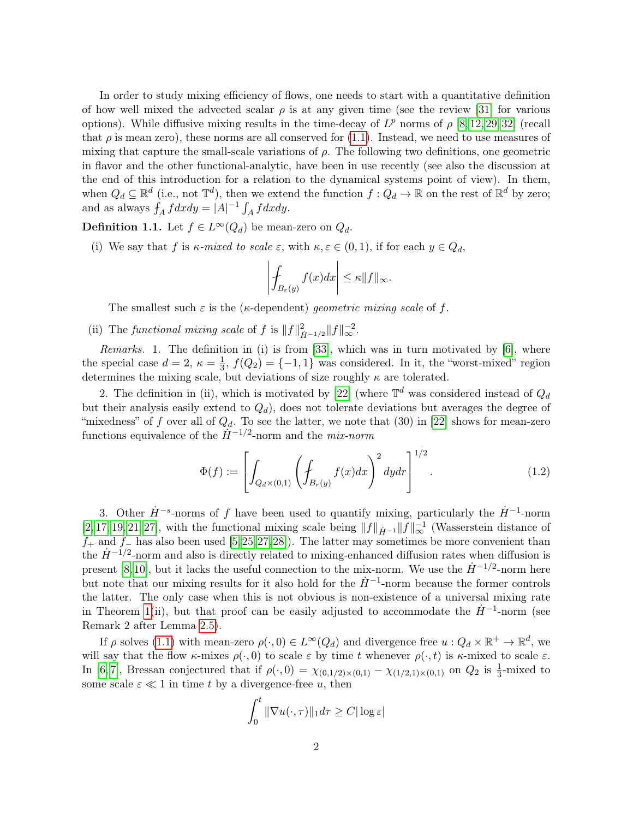In order to study mixing efficiency of flows, one needs to start with a quantitative definition of how well mixed the advected scalar  $\rho$  is at any given time (see the review [\[31\]](#page-27-0) for various options). While diffusive mixing results in the time-decay of  $L^p$  norms of  $\rho$  [\[8,](#page-26-0) [12,](#page-26-1) [29,](#page-27-1) [32\]](#page-27-2) (recall that  $\rho$  is mean zero), these norms are all conserved for [\(1.1\)](#page-0-0). Instead, we need to use measures of mixing that capture the small-scale variations of  $\rho$ . The following two definitions, one geometric in flavor and the other functional-analytic, have been in use recently (see also the discussion at the end of this introduction for a relation to the dynamical systems point of view). In them, when  $Q_d \subseteq \mathbb{R}^d$  (i.e., not  $\mathbb{T}^d$ ), then we extend the function  $f: Q_d \to \mathbb{R}$  on the rest of  $\mathbb{R}^d$  by zero; and as always  $\int_A f dx dy = |A|^{-1} \int_A f dx dy$ .

<span id="page-1-0"></span>**Definition 1.1.** Let  $f \in L^{\infty}(Q_d)$  be mean-zero on  $Q_d$ .

(i) We say that f is  $\kappa$ -mixed to scale  $\varepsilon$ , with  $\kappa, \varepsilon \in (0,1)$ , if for each  $y \in Q_d$ ,

$$
\left| \int_{B_{\varepsilon}(y)} f(x) dx \right| \leq \kappa \|f\|_{\infty}.
$$

The smallest such  $\varepsilon$  is the ( $\kappa$ -dependent) *geometric mixing scale* of f.

(ii) The functional mixing scale of f is  $||f||_{\dot{H}^{-1/2}}^2 ||f||_{\infty}^{-2}$ .

Remarks. 1. The definition in (i) is from [\[33\]](#page-27-3), which was in turn motivated by [\[6\]](#page-26-2), where the special case  $d=2, \ \kappa=\frac{1}{3}$  $\frac{1}{3}$ ,  $f(Q_2) = \{-1, 1\}$  was considered. In it, the "worst-mixed" region determines the mixing scale, but deviations of size roughly  $\kappa$  are tolerated.

2. The definition in (ii), which is motivated by [\[22\]](#page-27-4) (where  $\mathbb{T}^d$  was considered instead of  $Q_d$ but their analysis easily extend to  $Q_d$ ), does not tolerate deviations but averages the degree of "mixedness" of f over all of  $Q_d$ . To see the latter, we note that (30) in [\[22\]](#page-27-4) shows for mean-zero functions equivalence of the  $\dot{H}^{-1/2}$ -norm and the *mix-norm* 

<span id="page-1-1"></span>
$$
\Phi(f) := \left[ \int_{Q_d \times (0,1)} \left( \int_{B_r(y)} f(x) dx \right)^2 dy dr \right]^{1/2}.
$$
 (1.2)

3. Other  $\dot{H}^{-s}$ -norms of f have been used to quantify mixing, particularly the  $\dot{H}^{-1}$ -norm [\[2,](#page-26-3) [17,](#page-26-4) [19,](#page-27-5) [21,](#page-27-6) [27\]](#page-27-7), with the functional mixing scale being  $||f||_{\dot{H}^{-1}}||f||_{\infty}^{-1}$  (Wasserstein distance of  $f_+$  and  $f_-$  has also been used [\[5,](#page-26-5)[25,](#page-27-8)[27,](#page-27-7)[28\]](#page-27-9)). The latter may sometimes be more convenient than the  $\dot{H}^{-1/2}$ -norm and also is directly related to mixing-enhanced diffusion rates when diffusion is present [\[8,](#page-26-0)[10\]](#page-26-6), but it lacks the useful connection to the mix-norm. We use the  $\dot{H}^{-1/2}$ -norm here but note that our mixing results for it also hold for the  $\dot{H}^{-1}$ -norm because the former controls the latter. The only case when this is not obvious is non-existence of a universal mixing rate in Theorem [1\(](#page-0-1)ii), but that proof can be easily adjusted to accommodate the  $\dot{H}^{-1}$ -norm (see Remark 2 after Lemma [2.5\)](#page-8-0).

If  $\rho$  solves [\(1.1\)](#page-0-0) with mean-zero  $\rho(\cdot,0) \in L^{\infty}(Q_d)$  and divergence free  $u: Q_d \times \mathbb{R}^+ \to \mathbb{R}^d$ , we will say that the flow  $\kappa$ -mixes  $\rho(\cdot,0)$  to scale  $\varepsilon$  by time t whenever  $\rho(\cdot,t)$  is  $\kappa$ -mixed to scale  $\varepsilon$ . In [\[6,](#page-26-2) [7\]](#page-26-7), Bressan conjectured that if  $\rho(\cdot,0) = \chi_{(0,1/2)\times(0,1)} - \chi_{(1/2,1)\times(0,1)}$  on  $Q_2$  is  $\frac{1}{3}$ -mixed to some scale  $\varepsilon \ll 1$  in time t by a divergence-free u, then

$$
\int_0^t \|\nabla u(\cdot,\tau)\|_1 d\tau \geq C |\log \varepsilon|
$$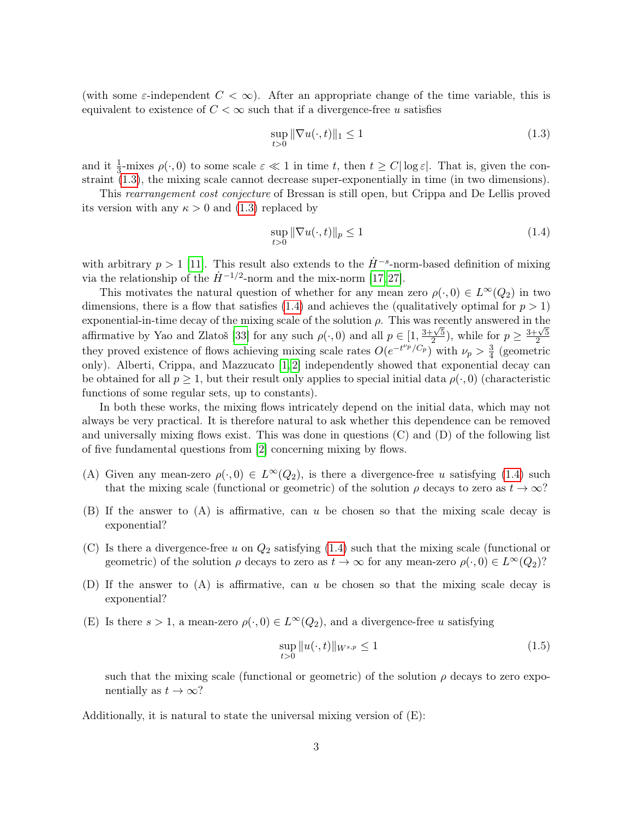(with some  $\varepsilon$ -independent  $C < \infty$ ). After an appropriate change of the time variable, this is equivalent to existence of  $C < \infty$  such that if a divergence-free u satisfies

<span id="page-2-0"></span>
$$
\sup_{t>0} \|\nabla u(\cdot, t)\|_1 \le 1\tag{1.3}
$$

and it  $\frac{1}{3}$ -mixes  $\rho(\cdot,0)$  to some scale  $\varepsilon \ll 1$  in time t, then  $t \ge C |\log \varepsilon|$ . That is, given the constraint [\(1.3\)](#page-2-0), the mixing scale cannot decrease super-exponentially in time (in two dimensions).

This rearrangement cost conjecture of Bressan is still open, but Crippa and De Lellis proved its version with any  $\kappa > 0$  and [\(1.3\)](#page-2-0) replaced by

<span id="page-2-1"></span>
$$
\sup_{t>0} \|\nabla u(\cdot, t)\|_{p} \le 1\tag{1.4}
$$

with arbitrary  $p > 1$  [\[11\]](#page-26-8). This result also extends to the  $\dot{H}^{-s}$ -norm-based definition of mixing via the relationship of the  $\dot{H}^{-1/2}$ -norm and the mix-norm [\[17,](#page-26-4) [27\]](#page-27-7).

This motivates the natural question of whether for any mean zero  $\rho(\cdot, 0) \in L^{\infty}(Q_2)$  in two dimensions, there is a flow that satisfies [\(1.4\)](#page-2-1) and achieves the (qualitatively optimal for  $p > 1$ ) exponential-in-time decay of the mixing scale of the solution  $\rho$ . This was recently answered in the affirmative by Yao and Zlatoš [\[33\]](#page-27-3) for any such  $\rho(\cdot, 0)$  and all  $p \in [1, \frac{3+\sqrt{5}}{2}]$  $\frac{1}{2}$ , while for  $p \geq \frac{3+\sqrt{5}}{2}$ 2 they proved existence of flows achieving mixing scale rates  $O(e^{-t^{\nu_p}/C_p})$  with  $\nu_p > \frac{3}{4}$  $\frac{3}{4}$  (geometric only). Alberti, Crippa, and Mazzucato [\[1,](#page-26-9) [2\]](#page-26-3) independently showed that exponential decay can be obtained for all  $p \geq 1$ , but their result only applies to special initial data  $\rho(\cdot, 0)$  (characteristic functions of some regular sets, up to constants).

In both these works, the mixing flows intricately depend on the initial data, which may not always be very practical. It is therefore natural to ask whether this dependence can be removed and universally mixing flows exist. This was done in questions (C) and (D) of the following list of five fundamental questions from [\[2\]](#page-26-3) concerning mixing by flows.

- (A) Given any mean-zero  $\rho(\cdot, 0) \in L^{\infty}(Q_2)$ , is there a divergence-free u satisfying [\(1.4\)](#page-2-1) such that the mixing scale (functional or geometric) of the solution  $\rho$  decays to zero as  $t \to \infty$ ?
- (B) If the answer to (A) is affirmative, can u be chosen so that the mixing scale decay is exponential?
- (C) Is there a divergence-free u on  $Q_2$  satisfying [\(1.4\)](#page-2-1) such that the mixing scale (functional or geometric) of the solution  $\rho$  decays to zero as  $t \to \infty$  for any mean-zero  $\rho(\cdot, 0) \in L^{\infty}(Q_2)$ ?
- (D) If the answer to (A) is affirmative, can u be chosen so that the mixing scale decay is exponential?
- (E) Is there  $s > 1$ , a mean-zero  $\rho(\cdot, 0) \in L^{\infty}(Q_2)$ , and a divergence-free u satisfying

<span id="page-2-2"></span>
$$
\sup_{t>0} \|u(\cdot,t)\|_{W^{s,p}} \le 1
$$
\n(1.5)

such that the mixing scale (functional or geometric) of the solution  $\rho$  decays to zero exponentially as  $t \to \infty$ ?

Additionally, it is natural to state the universal mixing version of  $(E)$ :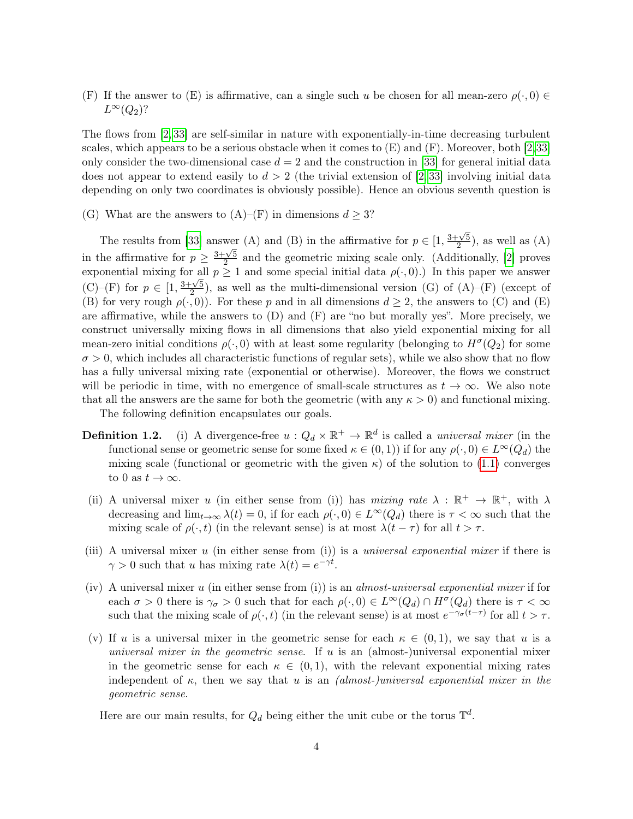(F) If the answer to (E) is affirmative, can a single such u be chosen for all mean-zero  $\rho(\cdot,0) \in$  $L^{\infty}(Q_2)$ ?

The flows from [\[2,](#page-26-3) [33\]](#page-27-3) are self-similar in nature with exponentially-in-time decreasing turbulent scales, which appears to be a serious obstacle when it comes to  $(E)$  and  $(F)$ . Moreover, both [\[2,](#page-26-3)[33\]](#page-27-3) only consider the two-dimensional case  $d = 2$  and the construction in [\[33\]](#page-27-3) for general initial data does not appear to extend easily to  $d > 2$  (the trivial extension of [\[2,](#page-26-3)33] involving initial data depending on only two coordinates is obviously possible). Hence an obvious seventh question is

(G) What are the answers to  $(A)$ – $(F)$  in dimensions  $d \geq 3$ ?

The results from [\[33\]](#page-27-3) answer (A) and (B) in the affirmative for  $p \in \left[1, \frac{3+\sqrt{5}}{2}\right]$  $\frac{2}{2}$ , as well as  $(A)$ in the affirmative for  $p \geq \frac{3+\sqrt{5}}{2}$  $\frac{2}{2}$  and the geometric mixing scale only. (Additionally, [\[2\]](#page-26-3) proves exponential mixing for all  $p \ge 1$  and some special initial data  $\rho(\cdot, 0)$ .) In this paper we answer  $(C)$ – $(F)$  for  $p \in [1, \frac{3+\sqrt{5}}{2}]$  $\frac{2\sqrt{5}}{2}$ , as well as the multi-dimensional version (G) of (A)–(F) (except of (B) for very rough  $\rho(\cdot, 0)$ ). For these p and in all dimensions  $d \geq 2$ , the answers to (C) and (E) are affirmative, while the answers to  $(D)$  and  $(F)$  are "no but morally yes". More precisely, we construct universally mixing flows in all dimensions that also yield exponential mixing for all mean-zero initial conditions  $\rho(\cdot,0)$  with at least some regularity (belonging to  $H^{\sigma}(Q_2)$  for some  $\sigma > 0$ , which includes all characteristic functions of regular sets), while we also show that no flow has a fully universal mixing rate (exponential or otherwise). Moreover, the flows we construct will be periodic in time, with no emergence of small-scale structures as  $t \to \infty$ . We also note that all the answers are the same for both the geometric (with any  $\kappa > 0$ ) and functional mixing. The following definition encapsulates our goals.

- **Definition 1.2.** (i) A divergence-free  $u: Q_d \times \mathbb{R}^+ \to \mathbb{R}^d$  is called a *universal mixer* (in the functional sense or geometric sense for some fixed  $\kappa \in (0,1)$ ) if for any  $\rho(\cdot,0) \in L^{\infty}(Q_d)$  the mixing scale (functional or geometric with the given  $\kappa$ ) of the solution to [\(1.1\)](#page-0-0) converges to 0 as  $t \to \infty$ .
- (ii) A universal mixer u (in either sense from (i)) has mixing rate  $\lambda : \mathbb{R}^+ \to \mathbb{R}^+$ , with  $\lambda$ decreasing and  $\lim_{t\to\infty}\lambda(t)=0$ , if for each  $\rho(\cdot,0)\in L^{\infty}(Q_d)$  there is  $\tau<\infty$  such that the mixing scale of  $\rho(\cdot, t)$  (in the relevant sense) is at most  $\lambda(t - \tau)$  for all  $t > \tau$ .
- (iii) A universal mixer u (in either sense from (i)) is a universal exponential mixer if there is  $\gamma > 0$  such that u has mixing rate  $\lambda(t) = e^{-\gamma t}$ .
- (iv) A universal mixer u (in either sense from (i)) is an almost-universal exponential mixer if for each  $\sigma > 0$  there is  $\gamma_{\sigma} > 0$  such that for each  $\rho(\cdot, 0) \in L^{\infty}(Q_d) \cap H^{\sigma}(Q_d)$  there is  $\tau < \infty$ such that the mixing scale of  $\rho(\cdot, t)$  (in the relevant sense) is at most  $e^{-\gamma \sigma(t-\tau)}$  for all  $t > \tau$ .
- (v) If u is a universal mixer in the geometric sense for each  $\kappa \in (0,1)$ , we say that u is a universal mixer in the geometric sense. If u is an (almost-)universal exponential mixer in the geometric sense for each  $\kappa \in (0,1)$ , with the relevant exponential mixing rates independent of  $\kappa$ , then we say that u is an *(almost-)universal exponential mixer in the* geometric sense.

Here are our main results, for  $Q_d$  being either the unit cube or the torus  $\mathbb{T}^d$ .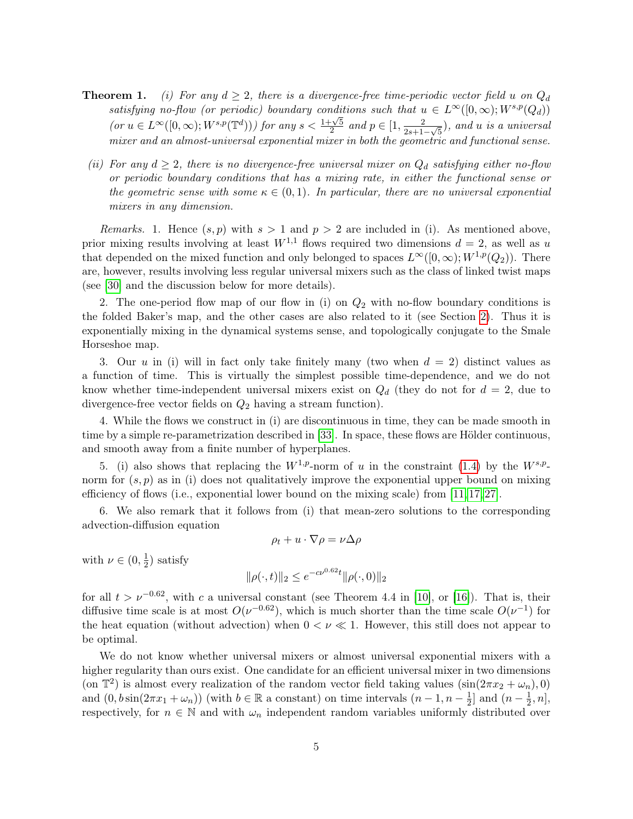- **Theorem 1.** (i) For any  $d \geq 2$ , there is a divergence-free time-periodic vector field u on  $Q_d$ satisfying no-flow (or periodic) boundary conditions such that  $u \in L^{\infty}([0,\infty);W^{s,p}(Q_d))$  $\int (or \ u \in L^{\infty}([0,\infty); W^{s,p}(\mathbb{T}^d)))$  for any  $s < \frac{1+\sqrt{5}}{2}$  $\frac{1}{2} \sqrt{5}$  and  $p \in [1, \frac{2}{2s+1}]$  $\frac{2}{2s+1-\sqrt{5}}$ ), and u is a universal mixer and an almost-universal exponential mixer in both the geometric and functional sense.
- (ii) For any  $d \geq 2$ , there is no divergence-free universal mixer on  $Q_d$  satisfying either no-flow or periodic boundary conditions that has a mixing rate, in either the functional sense or the geometric sense with some  $\kappa \in (0,1)$ . In particular, there are no universal exponential mixers in any dimension.

*Remarks.* 1. Hence  $(s, p)$  with  $s > 1$  and  $p > 2$  are included in (i). As mentioned above, prior mixing results involving at least  $W^{1,1}$  flows required two dimensions  $d=2$ , as well as u that depended on the mixed function and only belonged to spaces  $L^{\infty}([0,\infty);W^{1,p}(Q_2))$ . There are, however, results involving less regular universal mixers such as the class of linked twist maps (see [\[30\]](#page-27-10) and the discussion below for more details).

2. The one-period flow map of our flow in (i) on  $Q_2$  with no-flow boundary conditions is the folded Baker's map, and the other cases are also related to it (see Section [2\)](#page-6-0). Thus it is exponentially mixing in the dynamical systems sense, and topologically conjugate to the Smale Horseshoe map.

3. Our u in (i) will in fact only take finitely many (two when  $d = 2$ ) distinct values as a function of time. This is virtually the simplest possible time-dependence, and we do not know whether time-independent universal mixers exist on  $Q_d$  (they do not for  $d = 2$ , due to divergence-free vector fields on  $Q_2$  having a stream function).

4. While the flows we construct in (i) are discontinuous in time, they can be made smooth in time by a simple re-parametrization described in [\[33\]](#page-27-3). In space, these flows are Hölder continuous, and smooth away from a finite number of hyperplanes.

5. (i) also shows that replacing the  $W^{1,p}$ -norm of u in the constraint [\(1.4\)](#page-2-1) by the  $W^{s,p}$ norm for  $(s, p)$  as in (i) does not qualitatively improve the exponential upper bound on mixing efficiency of flows (i.e., exponential lower bound on the mixing scale) from [\[11,](#page-26-8) [17,](#page-26-4) [27\]](#page-27-7).

6. We also remark that it follows from (i) that mean-zero solutions to the corresponding advection-diffusion equation

$$
\rho_t + u \cdot \nabla \rho = \nu \Delta \rho
$$

with  $\nu \in (0, \frac{1}{2})$  $(\frac{1}{2})$  satisfy

$$
\|\rho(\cdot,t)\|_2 \le e^{-c\nu^{0.62}t} \|\rho(\cdot,0)\|_2
$$

for all  $t > \nu^{-0.62}$ , with c a universal constant (see Theorem 4.4 in [\[10\]](#page-26-6), or [\[16\]](#page-26-10)). That is, their diffusive time scale is at most  $O(\nu^{-0.62})$ , which is much shorter than the time scale  $O(\nu^{-1})$  for the heat equation (without advection) when  $0 < \nu \ll 1$ . However, this still does not appear to be optimal.

We do not know whether universal mixers or almost universal exponential mixers with a higher regularity than ours exist. One candidate for an efficient universal mixer in two dimensions (on  $\mathbb{T}^2$ ) is almost every realization of the random vector field taking values  $(\sin(2\pi x_2 + \omega_n), 0)$ and  $(0, b\sin(2\pi x_1 + \omega_n))$  (with  $b \in \mathbb{R}$  a constant) on time intervals  $(n-1, n-\frac{1}{2})$  $\frac{1}{2}$ ] and  $(n-\frac{1}{2})$  $\frac{1}{2}, n],$ respectively, for  $n \in \mathbb{N}$  and with  $\omega_n$  independent random variables uniformly distributed over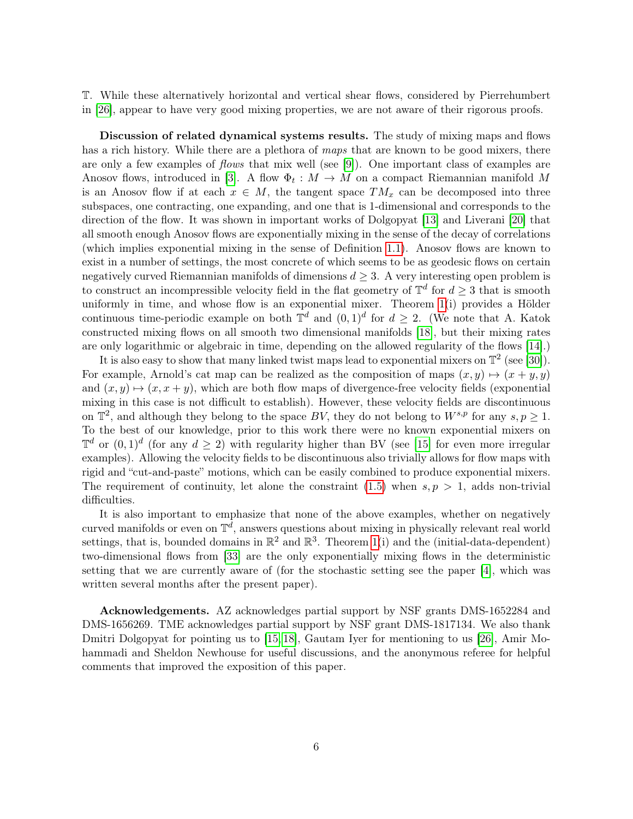T. While these alternatively horizontal and vertical shear flows, considered by Pierrehumbert in [\[26\]](#page-27-11), appear to have very good mixing properties, we are not aware of their rigorous proofs.

Discussion of related dynamical systems results. The study of mixing maps and flows has a rich history. While there are a plethora of maps that are known to be good mixers, there are only a few examples of *flows* that mix well (see [\[9\]](#page-26-11)). One important class of examples are Anosov flows, introduced in [\[3\]](#page-26-12). A flow  $\Phi_t : M \to M$  on a compact Riemannian manifold M is an Anosov flow if at each  $x \in M$ , the tangent space  $TM_x$  can be decomposed into three subspaces, one contracting, one expanding, and one that is 1-dimensional and corresponds to the direction of the flow. It was shown in important works of Dolgopyat [\[13\]](#page-26-13) and Liverani [\[20\]](#page-27-12) that all smooth enough Anosov flows are exponentially mixing in the sense of the decay of correlations (which implies exponential mixing in the sense of Definition [1.1\)](#page-1-0). Anosov flows are known to exist in a number of settings, the most concrete of which seems to be as geodesic flows on certain negatively curved Riemannian manifolds of dimensions  $d \geq 3$ . A very interesting open problem is to construct an incompressible velocity field in the flat geometry of  $\mathbb{T}^d$  for  $d \geq 3$  that is smooth uniformly in time, and whose flow is an exponential mixer. Theorem [1\(](#page-0-1)i) provides a Hölder continuous time-periodic example on both  $\mathbb{T}^d$  and  $(0,1)^d$  for  $d \geq 2$ . (We note that A. Katok constructed mixing flows on all smooth two dimensional manifolds [\[18\]](#page-26-14), but their mixing rates are only logarithmic or algebraic in time, depending on the allowed regularity of the flows [\[14\]](#page-26-15).)

It is also easy to show that many linked twist maps lead to exponential mixers on  $\mathbb{T}^2$  (see [\[30\]](#page-27-10)). For example, Arnold's cat map can be realized as the composition of maps  $(x, y) \mapsto (x + y, y)$ and  $(x, y) \mapsto (x, x + y)$ , which are both flow maps of divergence-free velocity fields (exponential mixing in this case is not difficult to establish). However, these velocity fields are discontinuous on  $\mathbb{T}^2$ , and although they belong to the space BV, they do not belong to  $W^{s,p}$  for any  $s, p \geq 1$ . To the best of our knowledge, prior to this work there were no known exponential mixers on  $\mathbb{T}^d$  or  $(0,1)^d$  (for any  $d \geq 2$ ) with regularity higher than BV (see [\[15\]](#page-26-16) for even more irregular examples). Allowing the velocity fields to be discontinuous also trivially allows for flow maps with rigid and "cut-and-paste" motions, which can be easily combined to produce exponential mixers. The requirement of continuity, let alone the constraint  $(1.5)$  when  $s, p > 1$ , adds non-trivial difficulties.

It is also important to emphasize that none of the above examples, whether on negatively curved manifolds or even on  $\mathbb{T}^d$ , answers questions about mixing in physically relevant real world settings, that is, bounded domains in  $\mathbb{R}^2$  and  $\mathbb{R}^3$ . Theorem [1\(](#page-0-1)i) and the (initial-data-dependent) two-dimensional flows from [\[33\]](#page-27-3) are the only exponentially mixing flows in the deterministic setting that we are currently aware of (for the stochastic setting see the paper [\[4\]](#page-26-17), which was written several months after the present paper).

Acknowledgements. AZ acknowledges partial support by NSF grants DMS-1652284 and DMS-1656269. TME acknowledges partial support by NSF grant DMS-1817134. We also thank Dmitri Dolgopyat for pointing us to [\[15,](#page-26-16) [18\]](#page-26-14), Gautam Iyer for mentioning to us [\[26\]](#page-27-11), Amir Mohammadi and Sheldon Newhouse for useful discussions, and the anonymous referee for helpful comments that improved the exposition of this paper.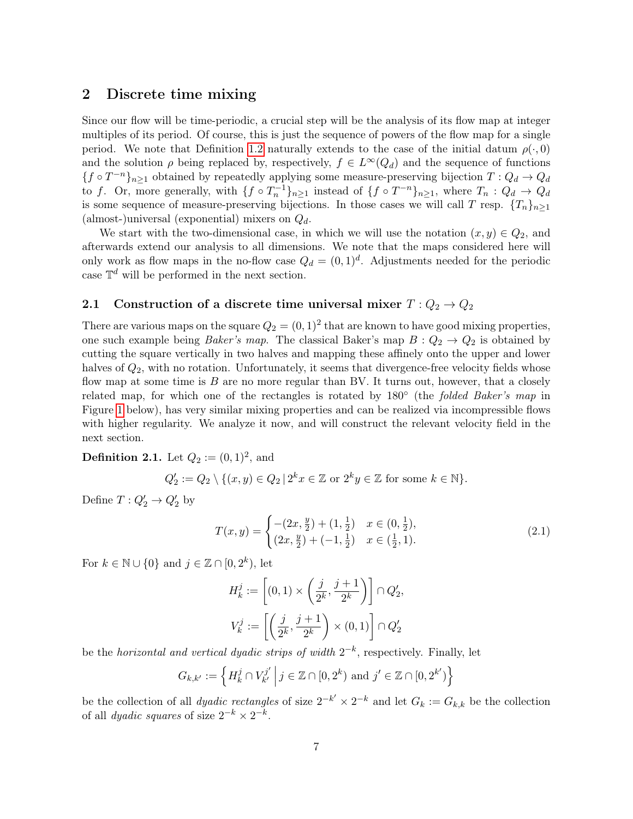## <span id="page-6-0"></span>2 Discrete time mixing

Since our flow will be time-periodic, a crucial step will be the analysis of its flow map at integer multiples of its period. Of course, this is just the sequence of powers of the flow map for a single period. We note that Definition [1.2](#page-0-1) naturally extends to the case of the initial datum  $\rho(\cdot, 0)$ and the solution  $\rho$  being replaced by, respectively,  $f \in L^{\infty}(Q_d)$  and the sequence of functions  ${f \circ T^{-n}}_{n \geq 1}$  obtained by repeatedly applying some measure-preserving bijection  $T: Q_d \to Q_d$ to f. Or, more generally, with  $\{f \circ T_n^{-1}\}_{n\geq 1}$  instead of  $\{f \circ T^{-n}\}_{n\geq 1}$ , where  $T_n: Q_d \to Q_d$ is some sequence of measure-preserving bijections. In those cases we will call T resp.  $\{T_n\}_{n\geq 1}$ (almost-)universal (exponential) mixers on  $Q_d$ .

We start with the two-dimensional case, in which we will use the notation  $(x, y) \in Q_2$ , and afterwards extend our analysis to all dimensions. We note that the maps considered here will only work as flow maps in the no-flow case  $Q_d = (0, 1)^d$ . Adjustments needed for the periodic case  $\mathbb{T}^d$  will be performed in the next section.

### 2.1 Construction of a discrete time universal mixer  $T: Q_2 \to Q_2$

There are various maps on the square  $Q_2 = (0, 1)^2$  that are known to have good mixing properties, one such example being *Baker's map*. The classical Baker's map  $B: Q_2 \to Q_2$  is obtained by cutting the square vertically in two halves and mapping these affinely onto the upper and lower halves of  $Q_2$ , with no rotation. Unfortunately, it seems that divergence-free velocity fields whose flow map at some time is  $B$  are no more regular than BV. It turns out, however, that a closely related map, for which one of the rectangles is rotated by 180<sup>°</sup> (the *folded Baker's map* in Figure [1](#page-7-0) below), has very similar mixing properties and can be realized via incompressible flows with higher regularity. We analyze it now, and will construct the relevant velocity field in the next section.

## <span id="page-6-2"></span>**Definition 2.1.** Let  $Q_2 := (0, 1)^2$ , and

$$
Q_2' := Q_2 \setminus \{ (x, y) \in Q_2 \mid 2^k x \in \mathbb{Z} \text{ or } 2^k y \in \mathbb{Z} \text{ for some } k \in \mathbb{N} \}.
$$

Define  $T: Q'_2 \to Q'_2$  by

<span id="page-6-1"></span>
$$
T(x,y) = \begin{cases} -(2x, \frac{y}{2}) + (1, \frac{1}{2}) & x \in (0, \frac{1}{2}), \\ (2x, \frac{y}{2}) + (-1, \frac{1}{2}) & x \in (\frac{1}{2}, 1). \end{cases}
$$
(2.1)

For  $k \in \mathbb{N} \cup \{0\}$  and  $j \in \mathbb{Z} \cap [0, 2^k)$ , let

$$
\begin{aligned} H^j_k &:= \left[ (0,1) \times \left( \frac{j}{2^k}, \frac{j+1}{2^k} \right) \right] \cap Q'_2, \\ V^j_k &:= \left[ \left( \frac{j}{2^k}, \frac{j+1}{2^k} \right) \times (0,1) \right] \cap Q'_2 \end{aligned}
$$

be the *horizontal and vertical dyadic strips of width*  $2^{-k}$ , respectively. Finally, let

$$
G_{k,k'} := \left\{ H_k^j \cap V_{k'}^{j'} \, \middle| \, j \in \mathbb{Z} \cap [0,2^k) \text{ and } j' \in \mathbb{Z} \cap [0,2^{k'} ) \right\}
$$

be the collection of all *dyadic rectangles* of size  $2^{-k'} \times 2^{-k}$  and let  $G_k := G_{k,k}$  be the collection of all *dyadic squares* of size  $2^{-k} \times 2^{-k}$ .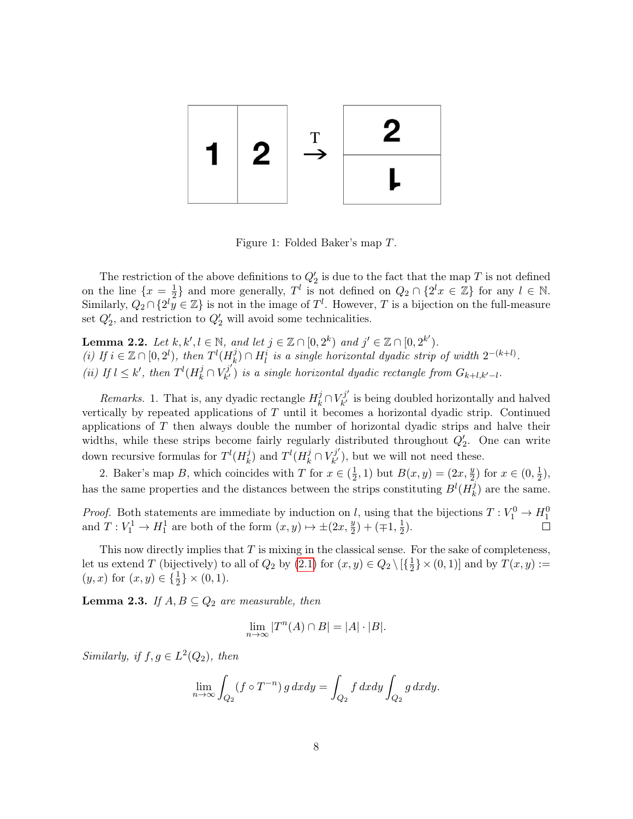

<span id="page-7-0"></span>Figure 1: Folded Baker's map T.

The restriction of the above definitions to  $Q'_2$  is due to the fact that the map T is not defined on the line  $\{x=\frac{1}{2}\}$  $\frac{1}{2}$  and more generally,  $T^l$  is not defined on  $Q_2 \cap \{2^l x \in \mathbb{Z}\}\)$  for any  $l \in \mathbb{N}$ . Similarly,  $Q_2 \cap \{2^l y \in \mathbb{Z}\}\$ is not in the image of  $T^l$ . However, T is a bijection on the full-measure set  $Q'_2$ , and restriction to  $Q'_2$  will avoid some technicalities.

<span id="page-7-1"></span>**Lemma 2.2.** Let  $k, k', l \in \mathbb{N}$ , and let  $j \in \mathbb{Z} \cap [0, 2^k)$  and  $j' \in \mathbb{Z} \cap [0, 2^{k'})$ . (i) If  $i \in \mathbb{Z} \cap [0,2^l)$ , then  $T^l(H_k^j)$  $h(k)$   $\cap$   $H_l^i$  is a single horizontal dyadic strip of width  $2^{-(k+l)}$ . (*ii*) If  $l \leq k'$ , then  $T^l(H_k^j \cap V_{k'}^{j'})$  $\mathcal{F}_{k'}^{(j)}$  is a single horizontal dyadic rectangle from  $G_{k+l,k'-l}$ .

Remarks. 1. That is, any dyadic rectangle  $H_k^j \cap V_{k'}^{j'}$  $\mathbf{R}_{k'}^{(j)}$  is being doubled horizontally and halved vertically by repeated applications of  $T$  until it becomes a horizontal dyadic strip. Continued applications of T then always double the number of horizontal dyadic strips and halve their widths, while these strips become fairly regularly distributed throughout  $Q'_2$ . One can write down recursive formulas for  $T^l(H_k^j)$  $\mathcal{L}_k^{(j)}$  and  $T^l(H_k^j \cap V_{k'}^{j'})$  $\mathcal{L}_{k'}^{(j)}$ , but we will not need these.

2. Baker's map B, which coincides with T for  $x \in (\frac{1}{2})$  $(\frac{1}{2}, 1)$  but  $B(x, y) = (2x, \frac{y}{2})$  $(\frac{y}{2})$  for  $x \in (0, \frac{1}{2})$  $(\frac{1}{2}),$ has the same properties and the distances between the strips constituting  $B^l(H^j_k)$  $\binom{J}{k}$  are the same.

*Proof.* Both statements are immediate by induction on l, using that the bijections  $T: V_1^0 \to H_1^0$ and  $T: V_1^1 \to H_1^1$  are both of the form  $(x, y) \mapsto \pm (2x, \frac{y}{2})$  $(\frac{y}{2}) + (\mp 1, \frac{1}{2})$  $(\frac{1}{2})$ .

This now directly implies that  $T$  is mixing in the classical sense. For the sake of completeness, let us extend T (bijectively) to all of  $Q_2$  by  $(2.1)$  for  $(x, y) \in Q_2 \setminus [{\frac{1}{2}}]$  $\frac{1}{2}$   $\times$  (0, 1)] and by  $T(x, y) :=$  $(y, x)$  for  $(x, y) \in {\frac{1}{2}} \times (0, 1)$ .

<span id="page-7-2"></span>**Lemma 2.3.** If  $A, B \subseteq Q_2$  are measurable, then

$$
\lim_{n \to \infty} |T^n(A) \cap B| = |A| \cdot |B|.
$$

Similarly, if  $f, g \in L^2(Q_2)$ , then

$$
\lim_{n \to \infty} \int_{Q_2} (f \circ T^{-n}) g \, dx dy = \int_{Q_2} f \, dx dy \int_{Q_2} g \, dx dy.
$$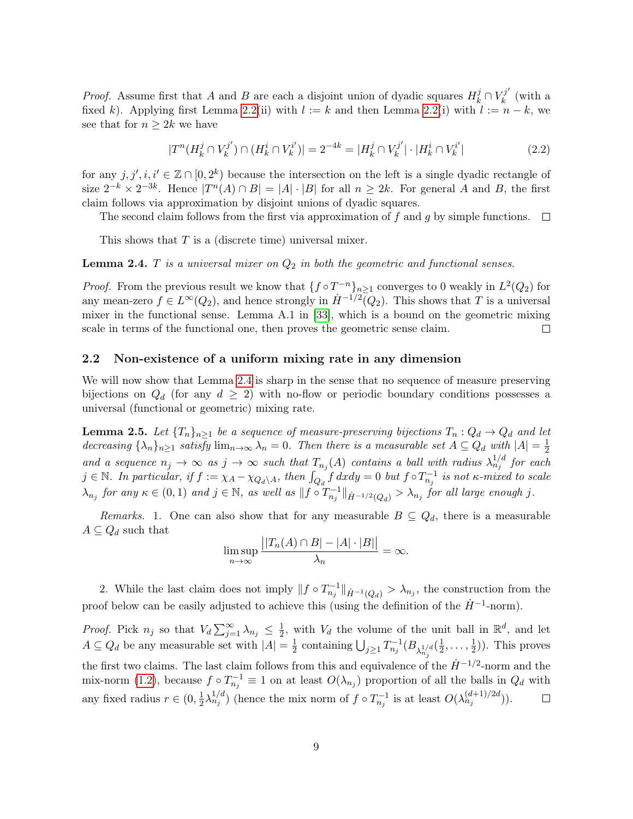*Proof.* Assume first that A and B are each a disjoint union of dyadic squares  $H_k^j \cap V_k^{j'}$  $\boldsymbol{h}^{\prime\prime}$  (with a fixed k). Applying first Lemma [2.2\(](#page-7-1)ii) with  $l := k$  and then Lemma 2.2(i) with  $l := n - k$ , we see that for  $n \geq 2k$  we have

$$
|T^n(H_k^j \cap V_k^{j'}) \cap (H_k^i \cap V_k^{i'})| = 2^{-4k} = |H_k^j \cap V_k^{j'}| \cdot |H_k^i \cap V_k^{i'}| \tag{2.2}
$$

for any  $j, j', i, i' \in \mathbb{Z} \cap [0, 2^k)$  because the intersection on the left is a single dyadic rectangle of size  $2^{-k} \times 2^{-3k}$ . Hence  $|T^n(A) \cap B| = |A| \cdot |B|$  for all  $n \geq 2k$ . For general A and B, the first claim follows via approximation by disjoint unions of dyadic squares.

The second claim follows from the first via approximation of f and g by simple functions.  $\Box$ 

This shows that  $T$  is a (discrete time) universal mixer.

<span id="page-8-1"></span>**Lemma 2.4.** T is a universal mixer on  $Q_2$  in both the geometric and functional senses.

*Proof.* From the previous result we know that  $\{f \circ T^{-n}\}_{n \geq 1}$  converges to 0 weakly in  $L^2(Q_2)$  for any mean-zero  $f \in L^{\infty}(Q_2)$ , and hence strongly in  $\dot{H}^{-1/2}(Q_2)$ . This shows that T is a universal mixer in the functional sense. Lemma A.1 in [\[33\]](#page-27-3), which is a bound on the geometric mixing scale in terms of the functional one, then proves the geometric sense claim.  $\Box$ 

#### 2.2 Non-existence of a uniform mixing rate in any dimension

We will now show that Lemma [2.4](#page-8-1) is sharp in the sense that no sequence of measure preserving bijections on  $Q_d$  (for any  $d \geq 2$ ) with no-flow or periodic boundary conditions possesses a universal (functional or geometric) mixing rate.

<span id="page-8-0"></span>**Lemma 2.5.** Let  ${T_n}_{n>1}$  be a sequence of measure-preserving bijections  ${T_n}: Q_d \to Q_d$  and let decreasing  $\{\lambda_n\}_{n\geq 1}$  satisfy  $\lim_{n\to\infty}\lambda_n=0$ . Then there is a measurable set  $A\subseteq Q_d$  with  $|A|=\frac{1}{2}$  $\overline{2}$ and a sequence  $n_j \to \infty$  as  $j \to \infty$  such that  $T_{n_j}(A)$  contains a ball with radius  $\lambda_{n_j}^{1/d}$  for each  $j \in \mathbb{N}$ . In particular, if  $f := \chi_A - \chi_{Q_d\setminus A}$ , then  $\int_{Q_d} f dx dy = 0$  but  $f \circ T_{n_j}^{-1}$  is not  $\kappa$ -mixed to scale  $\lambda_{n_j}$  for any  $\kappa \in (0,1)$  and  $j \in \mathbb{N}$ , as well as  $||f \circ T_{n_j}^{-1}||_{\dot{H}^{-1/2}(Q_d)} > \lambda_{n_j}$  for all large enough j.

Remarks. 1. One can also show that for any measurable  $B \subseteq Q_d$ , there is a measurable  $A \subseteq Q_d$  such that

$$
\limsup_{n \to \infty} \frac{||T_n(A) \cap B| - |A| \cdot |B||}{\lambda_n} = \infty.
$$

2. While the last claim does not imply  $|| f \circ T_{n_j}^{-1} ||_{\dot{H}^{-1}(Q_d)} > \lambda_{n_j}$ , the construction from the proof below can be easily adjusted to achieve this (using the definition of the  $\dot{H}^{-1}$ -norm).

*Proof.* Pick  $n_j$  so that  $V_d \sum_{j=1}^{\infty} \lambda_{n_j} \leq \frac{1}{2}$  $\frac{1}{2}$ , with  $V_d$  the volume of the unit ball in  $\mathbb{R}^d$ , and let  $A \subseteq Q_d$  be any measurable set with  $|A| = \frac{1}{2}$  $\frac{1}{2}$  containing  $\bigcup_{j\geq 1} T_{n_j}^{-1}(B_{\lambda_{n_j}^{1/d}}(\frac{1}{2}))$  $\frac{1}{2}, \ldots, \frac{1}{2}$  $(\frac{1}{2})$ ). This proves the first two claims. The last claim follows from this and equivalence of the  $\dot{H}^{-1/2}$ -norm and the mix-norm [\(1.2\)](#page-1-1), because  $f \circ T_{n_j}^{-1} \equiv 1$  on at least  $O(\lambda_{n_j})$  proportion of all the balls in  $Q_d$  with  $\frac{1}{2}\lambda_{n_j}^{1/d}$  (hence the mix norm of  $f \circ T_{n_j}^{-1}$  is at least  $O(\lambda_{n_j}^{(d+1)/2d}))$ . any fixed radius  $r \in (0, \frac{1}{2})$  $\Box$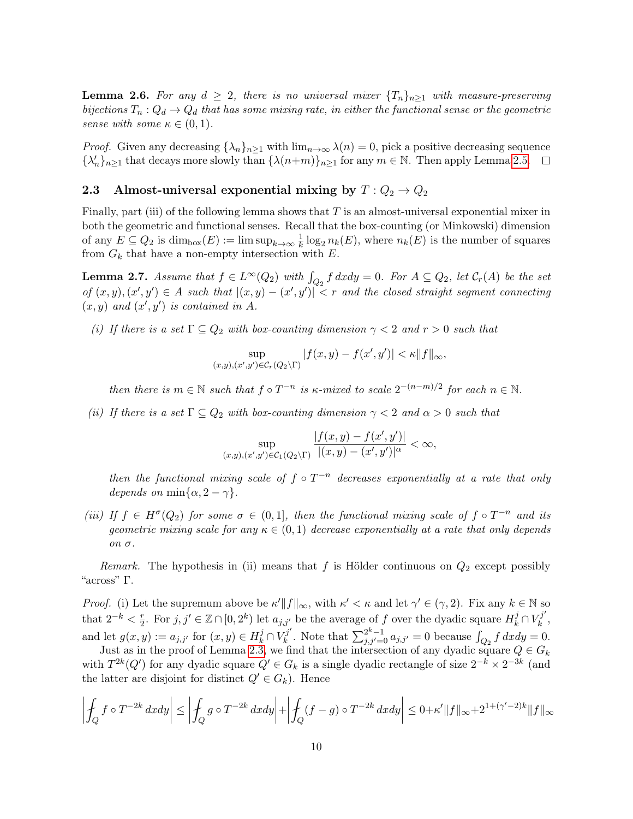<span id="page-9-1"></span>**Lemma 2.6.** For any  $d \geq 2$ , there is no universal mixer  $\{T_n\}_{n\geq 1}$  with measure-preserving bijections  $T_n: Q_d \to Q_d$  that has some mixing rate, in either the functional sense or the geometric sense with some  $\kappa \in (0,1)$ .

*Proof.* Given any decreasing  $\{\lambda_n\}_{n\geq 1}$  with  $\lim_{n\to\infty}\lambda(n)=0$ , pick a positive decreasing sequence  $\{\lambda'_n\}_{n\geq 1}$  that decays more slowly than  $\{\lambda(n+m)\}_{n\geq 1}$  for any  $m \in \mathbb{N}$ . Then apply Lemma [2.5.](#page-8-0)

# 2.3 Almost-universal exponential mixing by  $T: Q_2 \to Q_2$

Finally, part (iii) of the following lemma shows that T is an almost-universal exponential mixer in both the geometric and functional senses. Recall that the box-counting (or Minkowski) dimension of any  $E \subseteq Q_2$  is  $\dim_{\text{box}}(E) := \limsup_{k \to \infty} \frac{1}{k}$  $\frac{1}{k} \log_2 n_k(E)$ , where  $n_k(E)$  is the number of squares from  $G_k$  that have a non-empty intersection with  $E$ .

<span id="page-9-0"></span>**Lemma 2.7.** Assume that  $f \in L^{\infty}(Q_2)$  with  $\int_{Q_2} f dx dy = 0$ . For  $A \subseteq Q_2$ , let  $\mathcal{C}_r(A)$  be the set of  $(x, y), (x', y') \in A$  such that  $|(x, y) - (x', y')| < r$  and the closed straight segment connecting  $(x, y)$  and  $(x', y')$  is contained in A.

(i) If there is a set  $\Gamma \subseteq Q_2$  with box-counting dimension  $\gamma < 2$  and  $r > 0$  such that

$$
\sup_{(x,y),(x',y')\in\mathcal{C}_r(Q_2\backslash\Gamma)}|f(x,y)-f(x',y')|<\kappa||f||_{\infty},
$$

then there is  $m \in \mathbb{N}$  such that  $f \circ T^{-n}$  is  $\kappa$ -mixed to scale  $2^{-(n-m)/2}$  for each  $n \in \mathbb{N}$ .

(ii) If there is a set  $\Gamma \subseteq Q_2$  with box-counting dimension  $\gamma < 2$  and  $\alpha > 0$  such that

$$
\sup_{(x,y),(x',y')\in\mathcal{C}_1(Q_2\backslash\Gamma)}\frac{|f(x,y)-f(x',y')|}{|(x,y)-(x',y')|^\alpha}<\infty,
$$

then the functional mixing scale of  $f \circ T^{-n}$  decreases exponentially at a rate that only depends on min $\{\alpha, 2-\gamma\}.$ 

(iii) If  $f \in H^{\sigma}(Q_2)$  for some  $\sigma \in (0,1]$ , then the functional mixing scale of  $f \circ T^{-n}$  and its geometric mixing scale for any  $\kappa \in (0,1)$  decrease exponentially at a rate that only depends on σ.

Remark. The hypothesis in (ii) means that f is Hölder continuous on  $Q_2$  except possibly "across" Γ.

*Proof.* (i) Let the supremum above be  $\kappa' ||f||_{\infty}$ , with  $\kappa' < \kappa$  and let  $\gamma' \in (\gamma, 2)$ . Fix any  $k \in \mathbb{N}$  so that  $2^{-k} < \frac{r}{2}$  $\frac{r}{2}$ . For  $j, j' \in \mathbb{Z} \cap [0, 2^k)$  let  $a_{j,j'}$  be the average of f over the dyadic square  $H_k^j \cap V_k^{j'}$  $\begin{matrix} \kappa^j \ k \end{matrix}$  , and let  $g(x, y) := a_{j,j'}$  for  $(x, y) \in H_k^j \cap V_k^{j'}$  $\int_{k}^{j'}$ . Note that  $\sum_{j,j'=0}^{2^k-1} a_{j,j'} = 0$  because  $\int_{Q_2} f \, dx dy = 0$ .

Just as in the proof of Lemma [2.3,](#page-7-2) we find that the intersection of any dyadic square  $Q \in G_k$ with  $T^{2k}(Q')$  for any dyadic square  $Q' \in G_k$  is a single dyadic rectangle of size  $2^{-k} \times 2^{-3k}$  (and the latter are disjoint for distinct  $Q' \in G_k$ ). Hence

$$
\left| \oint_Q f \circ T^{-2k} dx dy \right| \le \left| \oint_Q g \circ T^{-2k} dx dy \right| + \left| \oint_Q (f - g) \circ T^{-2k} dx dy \right| \le 0 + \kappa' \|f\|_{\infty} + 2^{1 + (\gamma' - 2)k} \|f\|_{\infty}
$$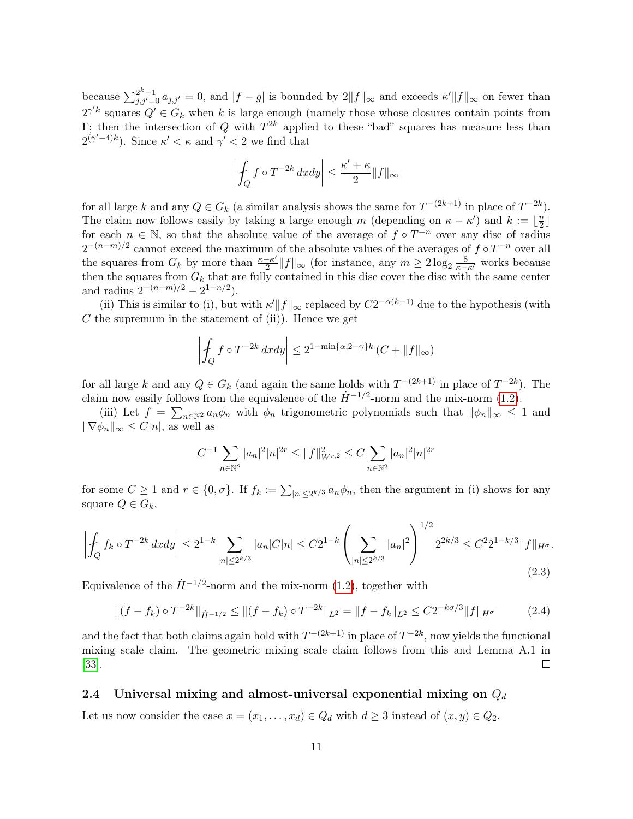because  $\sum_{j,j'=0}^{2^k-1} a_{j,j'} = 0$ , and  $|f-g|$  is bounded by  $2||f||_{\infty}$  and exceeds  $\kappa'||f||_{\infty}$  on fewer than  $2^{\gamma' k}$  squares  $Q' \in G_k$  when k is large enough (namely those whose closures contain points from Γ; then the intersection of Q with  $T^{2k}$  applied to these "bad" squares has measure less than  $2^{(\gamma'-4)k}$ ). Since  $\kappa' < \kappa$  and  $\gamma' < 2$  we find that

$$
\left|\int_Q f\circ T^{-2k}\,dxdy\right|\leq \frac{\kappa'+\kappa}{2}\|f\|_\infty
$$

for all large k and any  $Q \in G_k$  (a similar analysis shows the same for  $T^{-(2k+1)}$  in place of  $T^{-2k}$ ). The claim now follows easily by taking a large enough m (depending on  $\kappa - \kappa'$ ) and  $k := \frac{\kappa}{2}$  $\frac{n}{2}$ for each  $n \in \mathbb{N}$ , so that the absolute value of the average of  $f \circ T^{-n}$  over any disc of radius  $2^{-(n-m)/2}$  cannot exceed the maximum of the absolute values of the averages of  $f \circ T^{-n}$  over all the squares from  $G_k$  by more than  $\frac{\kappa - \kappa'}{2}$  $\frac{-\kappa'}{2}||f||_{\infty}$  (for instance, any  $m \geq 2\log_2 \frac{8}{\kappa - \kappa'}$  works because then the squares from  $G_k$  that are fully contained in this disc cover the disc with the same center and radius  $2^{-(n-m)/2} - 2^{1-n/2}$ .

(ii) This is similar to (i), but with  $\kappa' ||f||_{\infty}$  replaced by  $C2^{-\alpha(k-1)}$  due to the hypothesis (with  $C$  the supremum in the statement of (ii)). Hence we get

$$
\left| \int_{Q} f \circ T^{-2k} dx dy \right| \leq 2^{1 - \min\{\alpha, 2 - \gamma\}k} (C + \|f\|_{\infty})
$$

for all large k and any  $Q \in G_k$  (and again the same holds with  $T^{-(2k+1)}$  in place of  $T^{-2k}$ ). The claim now easily follows from the equivalence of the  $\dot{H}^{-1/2}$ -norm and the mix-norm [\(1.2\)](#page-1-1).

(iii) Let  $f = \sum_{n \in \mathbb{N}^2} a_n \phi_n$  with  $\phi_n$  trigonometric polynomials such that  $\|\phi_n\|_{\infty} \leq 1$  and  $\|\nabla \phi_n\|_{\infty} \leq C|n|$ , as well as

$$
C^{-1} \sum_{n \in \mathbb{N}^2} |a_n|^2 |n|^{2r} \le ||f||^2_{W^{r,2}} \le C \sum_{n \in \mathbb{N}^2} |a_n|^2 |n|^{2r}
$$

for some  $C \geq 1$  and  $r \in \{0, \sigma\}$ . If  $f_k := \sum_{|n| \leq 2^{k/3}} a_n \phi_n$ , then the argument in (i) shows for any square  $Q \in G_k$ ,

<span id="page-10-0"></span>
$$
\left| \oint_{Q} f_{k} \circ T^{-2k} dx dy \right| \leq 2^{1-k} \sum_{|n| \leq 2^{k/3}} |a_{n}| C|n| \leq C 2^{1-k} \left( \sum_{|n| \leq 2^{k/3}} |a_{n}|^{2} \right)^{1/2} 2^{2k/3} \leq C^{2} 2^{1-k/3} \|f\|_{H^{\sigma}}.
$$
\n
$$
(2.3)
$$

Equivalence of the  $\dot{H}^{-1/2}$ -norm and the mix-norm [\(1.2\)](#page-1-1), together with

<span id="page-10-1"></span>
$$
\|(f - f_k) \circ T^{-2k}\|_{\dot{H}^{-1/2}} \le \|(f - f_k) \circ T^{-2k}\|_{L^2} = \|f - f_k\|_{L^2} \le C2^{-k\sigma/3} \|f\|_{H^{\sigma}}
$$
(2.4)

and the fact that both claims again hold with  $T^{-(2k+1)}$  in place of  $T^{-2k}$ , now yields the functional mixing scale claim. The geometric mixing scale claim follows from this and Lemma A.1 in [\[33\]](#page-27-3).  $\Box$ 

### 2.4 Universal mixing and almost-universal exponential mixing on  $Q_d$

Let us now consider the case  $x = (x_1, \ldots, x_d) \in Q_d$  with  $d \geq 3$  instead of  $(x, y) \in Q_2$ .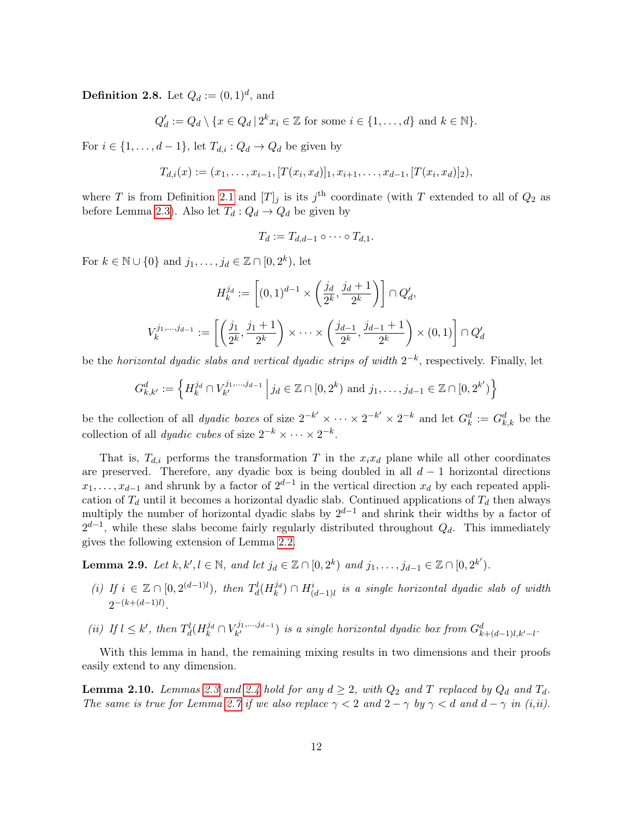**Definition 2.8.** Let  $Q_d := (0, 1)^d$ , and

$$
Q'_d := Q_d \setminus \{x \in Q_d \mid 2^k x_i \in \mathbb{Z} \text{ for some } i \in \{1, \ldots, d\} \text{ and } k \in \mathbb{N}\}.
$$

For  $i \in \{1, \ldots, d-1\}$ , let  $T_{d,i} : Q_d \to Q_d$  be given by

$$
T_{d,i}(x) := (x_1, \ldots, x_{i-1}, [T(x_i, x_d)]_1, x_{i+1}, \ldots, x_{d-1}, [T(x_i, x_d)]_2),
$$

where T is from Definition [2.1](#page-6-2) and  $[T]_j$  is its j<sup>th</sup> coordinate (with T extended to all of  $Q_2$  as before Lemma [2.3\)](#page-7-2). Also let  $T_d: Q_d \to Q_d$  be given by

$$
T_d := T_{d,d-1} \circ \cdots \circ T_{d,1}.
$$

For  $k \in \mathbb{N} \cup \{0\}$  and  $j_1, \ldots, j_d \in \mathbb{Z} \cap [0, 2^k)$ , let

$$
H_k^{j_d} := \left[ (0,1)^{d-1} \times \left( \frac{j_d}{2^k}, \frac{j_d+1}{2^k} \right) \right] \cap Q'_d,
$$
  

$$
V_k^{j_1,\dots,j_{d-1}} := \left[ \left( \frac{j_1}{2^k}, \frac{j_1+1}{2^k} \right) \times \dots \times \left( \frac{j_{d-1}}{2^k}, \frac{j_{d-1}+1}{2^k} \right) \times (0,1) \right] \cap Q'_d
$$

be the horizontal dyadic slabs and vertical dyadic strips of width  $2^{-k}$ , respectively. Finally, let

$$
G_{k,k'}^d := \left\{ H_k^{j_d} \cap V_{k'}^{j_1,\dots,j_{d-1}} \, \middle| \, j_d \in \mathbb{Z} \cap [0,2^k) \text{ and } j_1,\dots,j_{d-1} \in \mathbb{Z} \cap [0,2^{k'}) \right\}
$$

be the collection of all *dyadic boxes* of size  $2^{-k'} \times \cdots \times 2^{-k'} \times 2^{-k}$  and let  $G_k^d := G_{k,k}^d$  be the collection of all *dyadic cubes* of size  $2^{-k} \times \cdots \times 2^{-k}$ .

That is,  $T_{d,i}$  performs the transformation T in the  $x_ix_d$  plane while all other coordinates are preserved. Therefore, any dyadic box is being doubled in all  $d-1$  horizontal directions  $x_1, \ldots, x_{d-1}$  and shrunk by a factor of  $2^{d-1}$  in the vertical direction  $x_d$  by each repeated application of  $T_d$  until it becomes a horizontal dyadic slab. Continued applications of  $T_d$  then always multiply the number of horizontal dyadic slabs by  $2^{d-1}$  and shrink their widths by a factor of  $2^{d-1}$ , while these slabs become fairly regularly distributed throughout  $Q_d$ . This immediately gives the following extension of Lemma [2.2.](#page-7-1)

<span id="page-11-0"></span>**Lemma 2.9.** Let  $k, k', l \in \mathbb{N}$ , and let  $j_d \in \mathbb{Z} \cap [0, 2^k)$  and  $j_1, \ldots, j_{d-1} \in \mathbb{Z} \cap [0, 2^{k'}).$ 

- (i) If  $i \in \mathbb{Z} \cap [0, 2^{(d-1)l})$ , then  $T_d^l(H_k^{j_d}) \cap H_{(d-1)l}^i$  is a single horizontal dyadic slab of width  $2^{-(k+(d-1)l)}$ .
- (*ii*) If  $l \leq k'$ , then  $T_d^l(H_k^{j_d} \cap V_{k'}^{j_1,\dots,j_{d-1}})$  $\mathcal{F}^{(1),...,j_{d-1}}_{k'}$  is a single horizontal dyadic box from  $G^d_{k+(d-1)l,k'-l}$ .

With this lemma in hand, the remaining mixing results in two dimensions and their proofs easily extend to any dimension.

<span id="page-11-1"></span>**Lemma 2.10.** Lemmas [2.3](#page-7-2) and [2.4](#page-8-1) hold for any  $d \geq 2$ , with  $Q_2$  and T replaced by  $Q_d$  and  $T_d$ . The same is true for Lemma [2.7](#page-9-0) if we also replace  $\gamma < 2$  and  $2 - \gamma$  by  $\gamma < d$  and  $d - \gamma$  in (i,ii).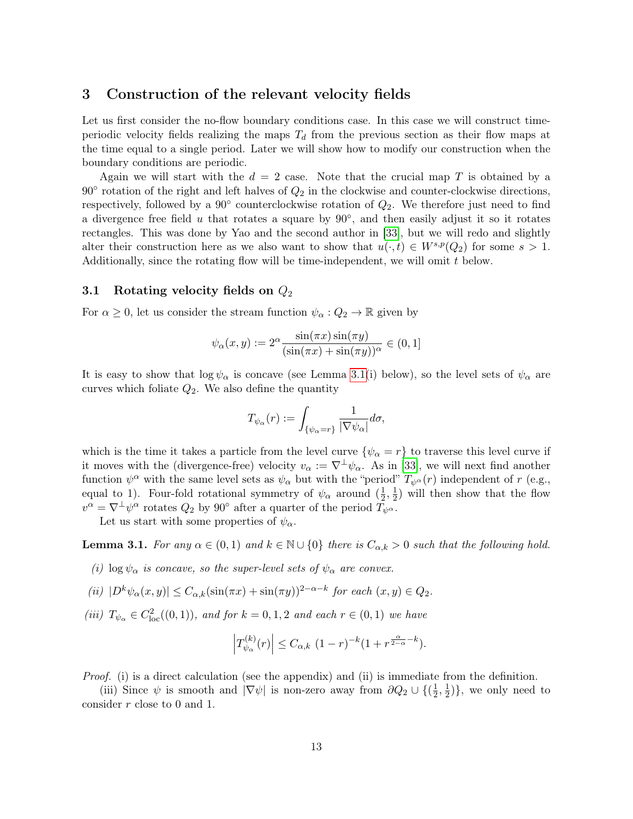## <span id="page-12-1"></span>3 Construction of the relevant velocity fields

Let us first consider the no-flow boundary conditions case. In this case we will construct timeperiodic velocity fields realizing the maps  $T_d$  from the previous section as their flow maps at the time equal to a single period. Later we will show how to modify our construction when the boundary conditions are periodic.

Again we will start with the  $d = 2$  case. Note that the crucial map T is obtained by a  $90^{\circ}$  rotation of the right and left halves of  $Q_2$  in the clockwise and counter-clockwise directions, respectively, followed by a  $90^{\circ}$  counterclockwise rotation of  $Q_2$ . We therefore just need to find a divergence free field  $u$  that rotates a square by  $90^\circ$ , and then easily adjust it so it rotates rectangles. This was done by Yao and the second author in [\[33\]](#page-27-3), but we will redo and slightly alter their construction here as we also want to show that  $u(\cdot, t) \in W^{s,p}(Q_2)$  for some  $s > 1$ . Additionally, since the rotating flow will be time-independent, we will omit t below.

### 3.1 Rotating velocity fields on  $Q_2$

For  $\alpha \geq 0$ , let us consider the stream function  $\psi_{\alpha}: Q_2 \to \mathbb{R}$  given by

$$
\psi_{\alpha}(x,y) := 2^{\alpha} \frac{\sin(\pi x) \sin(\pi y)}{(\sin(\pi x) + \sin(\pi y))^{\alpha}} \in (0,1]
$$

It is easy to show that  $\log \psi_{\alpha}$  is concave (see Lemma [3.1\(](#page-12-0)i) below), so the level sets of  $\psi_{\alpha}$  are curves which foliate  $Q_2$ . We also define the quantity

$$
T_{\psi_{\alpha}}(r):=\int_{\{\psi_{\alpha}=r\}}\frac{1}{|\nabla\psi_{\alpha}|}d\sigma,
$$

which is the time it takes a particle from the level curve  $\{\psi_{\alpha} = r\}$  to traverse this level curve if it moves with the (divergence-free) velocity  $v_\alpha := \nabla^{\perp} \psi_\alpha$ . As in [\[33\]](#page-27-3), we will next find another function  $\psi^{\alpha}$  with the same level sets as  $\psi_{\alpha}$  but with the "period"  $T_{\psi^{\alpha}}(r)$  independent of r (e.g., equal to 1). Four-fold rotational symmetry of  $\psi_{\alpha}$  around  $(\frac{1}{2})$  $\frac{1}{2}, \frac{1}{2}$  $(\frac{1}{2})$  will then show that the flow  $v^{\alpha} = \nabla^{\perp} \psi^{\alpha}$  rotates  $Q_2$  by 90° after a quarter of the period  $\bar{T}_{\psi}$ <sup> $\alpha$ </sup>.

Let us start with some properties of  $\psi_{\alpha}$ .

<span id="page-12-0"></span>**Lemma 3.1.** For any  $\alpha \in (0,1)$  and  $k \in \mathbb{N} \cup \{0\}$  there is  $C_{\alpha,k} > 0$  such that the following hold.

(i) log  $\psi_{\alpha}$  is concave, so the super-level sets of  $\psi_{\alpha}$  are convex.

$$
(ii) |D^k \psi_\alpha(x, y)| \le C_{\alpha, k} (\sin(\pi x) + \sin(\pi y))^{2-\alpha-k} \text{ for each } (x, y) \in Q_2.
$$

(iii)  $T_{\psi_{\alpha}} \in C_{\text{loc}}^2((0,1))$ , and for  $k = 0, 1, 2$  and each  $r \in (0,1)$  we have

$$
\left|T_{\psi_{\alpha}}^{(k)}(r)\right| \leq C_{\alpha,k} \ (1-r)^{-k} (1+r^{\frac{\alpha}{2-\alpha}-k}).
$$

Proof. (i) is a direct calculation (see the appendix) and (ii) is immediate from the definition.

(iii) Since  $\psi$  is smooth and  $|\nabla \psi|$  is non-zero away from  $\partial Q_2 \cup \{(\frac{1}{2})\}$  $\frac{1}{2}, \frac{1}{2}$  $\frac{1}{2}$ }, we only need to consider r close to 0 and 1.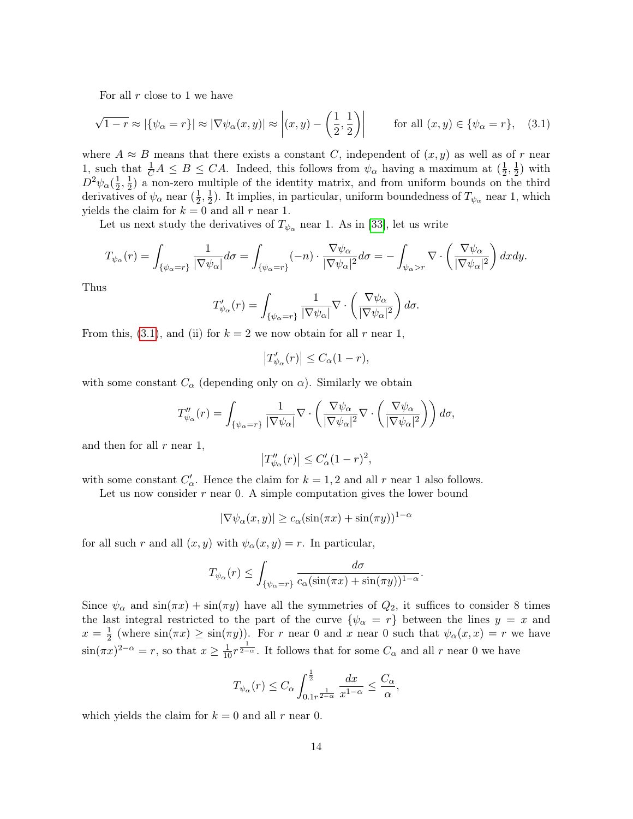For all  $r$  close to 1 we have

<span id="page-13-0"></span>
$$
\sqrt{1-r} \approx |\{\psi_{\alpha} = r\}| \approx |\nabla \psi_{\alpha}(x, y)| \approx \left| (x, y) - \left(\frac{1}{2}, \frac{1}{2}\right) \right| \qquad \text{for all } (x, y) \in \{\psi_{\alpha} = r\}, \quad (3.1)
$$

where  $A \approx B$  means that there exists a constant C, independent of  $(x, y)$  as well as of r near 1, such that  $\frac{1}{C}A \leq B \leq CA$ . Indeed, this follows from  $\psi_{\alpha}$  having a maximum at  $(\frac{1}{2})$  $\frac{1}{2}, \frac{1}{2}$  $(\frac{1}{2})$  with  $D^2\psi_\alpha(\frac{1}{2}$  $\frac{1}{2}, \frac{1}{2}$  $\frac{1}{2}$ ) a non-zero multiple of the identity matrix, and from uniform bounds on the third derivatives of  $\psi_{\alpha}$  near  $(\frac{1}{2})$  $\frac{1}{2}, \frac{1}{2}$  $\frac{1}{2}$ ). It implies, in particular, uniform boundedness of  $T_{\psi_{\alpha}}$  near 1, which yields the claim for  $k = 0$  and all r near 1.

Let us next study the derivatives of  $T_{\psi_{\alpha}}$  near 1. As in [\[33\]](#page-27-3), let us write

$$
T_{\psi_{\alpha}}(r) = \int_{\{\psi_{\alpha}=r\}} \frac{1}{|\nabla \psi_{\alpha}|} d\sigma = \int_{\{\psi_{\alpha}=r\}} (-n) \cdot \frac{\nabla \psi_{\alpha}}{|\nabla \psi_{\alpha}|^{2}} d\sigma = -\int_{\psi_{\alpha}>r} \nabla \cdot \left(\frac{\nabla \psi_{\alpha}}{|\nabla \psi_{\alpha}|^{2}}\right) dxdy.
$$

Thus

$$
T'_{\psi_{\alpha}}(r) = \int_{\{\psi_{\alpha}=r\}} \frac{1}{|\nabla \psi_{\alpha}|} \nabla \cdot \left(\frac{\nabla \psi_{\alpha}}{|\nabla \psi_{\alpha}|^{2}}\right) d\sigma.
$$

From this, [\(3.1\)](#page-13-0), and (ii) for  $k = 2$  we now obtain for all r near 1,

$$
\left|T'_{\psi_{\alpha}}(r)\right| \leq C_{\alpha}(1-r),
$$

with some constant  $C_{\alpha}$  (depending only on  $\alpha$ ). Similarly we obtain

$$
T''_{\psi_{\alpha}}(r) = \int_{\{\psi_{\alpha}=r\}} \frac{1}{|\nabla \psi_{\alpha}|} \nabla \cdot \left(\frac{\nabla \psi_{\alpha}}{|\nabla \psi_{\alpha}|^{2}} \nabla \cdot \left(\frac{\nabla \psi_{\alpha}}{|\nabla \psi_{\alpha}|^{2}}\right)\right) d\sigma,
$$

and then for all  $r$  near 1,

$$
\left|T''_{\psi_{\alpha}}(r)\right| \leq C'_{\alpha}(1-r)^2,
$$

with some constant  $C'_{\alpha}$ . Hence the claim for  $k = 1, 2$  and all r near 1 also follows.

Let us now consider  $r$  near 0. A simple computation gives the lower bound

$$
|\nabla \psi_{\alpha}(x, y)| \ge c_{\alpha} (\sin(\pi x) + \sin(\pi y))^{1-\alpha}
$$

for all such r and all  $(x, y)$  with  $\psi_{\alpha}(x, y) = r$ . In particular,

$$
T_{\psi_{\alpha}}(r) \leq \int_{\{\psi_{\alpha}=r\}} \frac{d\sigma}{c_{\alpha}(\sin(\pi x) + \sin(\pi y))^{1-\alpha}}.
$$

Since  $\psi_{\alpha}$  and  $\sin(\pi x) + \sin(\pi y)$  have all the symmetries of  $Q_2$ , it suffices to consider 8 times the last integral restricted to the part of the curve  $\{\psi_{\alpha} = r\}$  between the lines  $y = x$  and  $x=\frac{1}{2}$  $\frac{1}{2}$  (where  $\sin(\pi x) \geq \sin(\pi y)$ ). For r near 0 and x near 0 such that  $\psi_{\alpha}(x,x) = r$  we have  $\sin(\pi x)^{2-\alpha} = r$ , so that  $x \ge \frac{1}{10}r^{\frac{1}{2-\alpha}}$ . It follows that for some  $C_{\alpha}$  and all r near 0 we have

$$
T_{\psi_{\alpha}}(r) \leq C_{\alpha} \int_{0.1r^{\frac{1}{2-\alpha}}}^{\frac{1}{2}} \frac{dx}{x^{1-\alpha}} \leq \frac{C_{\alpha}}{\alpha},
$$

which yields the claim for  $k = 0$  and all r near 0.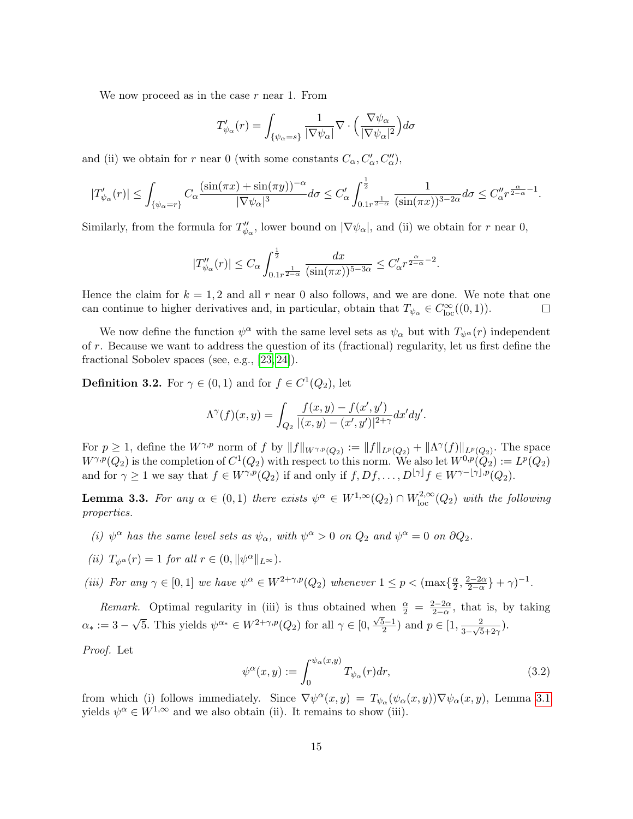We now proceed as in the case  $r$  near 1. From

$$
T'_{\psi_{\alpha}}(r) = \int_{\{\psi_{\alpha} = s\}} \frac{1}{|\nabla \psi_{\alpha}|} \nabla \cdot \left(\frac{\nabla \psi_{\alpha}}{|\nabla \psi_{\alpha}|^{2}}\right) d\sigma
$$

and (ii) we obtain for r near 0 (with some constants  $C_{\alpha}, C'_{\alpha}, C''_{\alpha}$ ),

$$
|T'_{\psi_{\alpha}}(r)| \leq \int_{\{\psi_{\alpha}=r\}} C_{\alpha} \frac{(\sin(\pi x) + \sin(\pi y))^{-\alpha}}{|\nabla \psi_{\alpha}|^{3}} d\sigma \leq C'_{\alpha} \int_{0.1r^{\frac{1}{2-\alpha}}}^{\frac{1}{2}} \frac{1}{(\sin(\pi x))^{3-2\alpha}} d\sigma \leq C''_{\alpha} r^{\frac{\alpha}{2-\alpha}-1}.
$$

Similarly, from the formula for  $T''_{\psi_{\alpha}}$ , lower bound on  $|\nabla \psi_{\alpha}|$ , and (ii) we obtain for r near 0,

$$
|T''_{\psi_{\alpha}}(r)| \leq C_{\alpha} \int_{0.1r^{\frac{1}{2-\alpha}}}^{\frac{1}{2}} \frac{dx}{(\sin(\pi x))^{5-3\alpha}} \leq C_{\alpha}' r^{\frac{\alpha}{2-\alpha}-2}.
$$

Hence the claim for  $k = 1, 2$  and all r near 0 also follows, and we are done. We note that one can continue to higher derivatives and, in particular, obtain that  $T_{\psi_{\alpha}} \in C^{\infty}_{loc}((0,1)).$  $\Box$ 

We now define the function  $\psi^{\alpha}$  with the same level sets as  $\psi_{\alpha}$  but with  $T_{\psi^{\alpha}}(r)$  independent of  $r$ . Because we want to address the question of its (fractional) regularity, let us first define the fractional Sobolev spaces (see, e.g., [\[23,](#page-27-13) [24\]](#page-27-14)).

**Definition 3.2.** For  $\gamma \in (0,1)$  and for  $f \in C^1(Q_2)$ , let

$$
\Lambda^{\gamma}(f)(x,y) = \int_{Q_2} \frac{f(x,y) - f(x',y')}{|(x,y) - (x',y')|^{2+\gamma}} dx'dy'.
$$

For  $p \geq 1$ , define the  $W^{\gamma,p}$  norm of f by  $||f||_{W^{\gamma,p}(Q_2)} := ||f||_{L^p(Q_2)} + ||\Lambda^{\gamma}(f)||_{L^p(Q_2)}$ . The space  $W^{\gamma,p}(Q_2)$  is the completion of  $C^1(Q_2)$  with respect to this norm. We also let  $W^{0,p}(Q_2) := L^p(Q_2)$ and for  $\gamma \geq 1$  we say that  $f \in W^{\gamma,p}(Q_2)$  if and only if  $f, Df, \ldots, D^{\lfloor \gamma \rfloor} f \in W^{\gamma-\lfloor \gamma \rfloor,p}(Q_2)$ .

<span id="page-14-0"></span>**Lemma 3.3.** For any  $\alpha \in (0,1)$  there exists  $\psi^{\alpha} \in W^{1,\infty}(Q_2) \cap W^{2,\infty}_{loc}(Q_2)$  with the following properties.

- (i)  $\psi^{\alpha}$  has the same level sets as  $\psi_{\alpha}$ , with  $\psi^{\alpha} > 0$  on  $Q_2$  and  $\psi^{\alpha} = 0$  on  $\partial Q_2$ .
- (ii)  $T_{\psi^{\alpha}}(r) = 1$  for all  $r \in (0, ||\psi^{\alpha}||_{L^{\infty}})$ .

(iii) For any  $\gamma \in [0,1]$  we have  $\psi^{\alpha} \in W^{2+\gamma,p}(Q_2)$  whenever  $1 \leq p < (\max\{\frac{\alpha}{2})\}$  $\frac{\alpha}{2}, \frac{2-2\alpha}{2-\alpha}$  $\frac{2-2\alpha}{2-\alpha}\} + \gamma)^{-1}.$ 

Remark. Optimal regularity in (iii) is thus obtained when  $\frac{\alpha}{2} = \frac{2-2\alpha}{2-\alpha}$ when  $\frac{\alpha}{2} = \frac{2-2\alpha}{2-\alpha}$ , that is, by taking  $\alpha_* := 3 -$ √ 5. This yields  $\psi^{\alpha} \in W^{2+\gamma,p}(Q_2)$  for all  $\gamma \in [0, \frac{\sqrt{5}-1}{2}]$  $\frac{5-1}{2}$ ) and  $p \in [1, \frac{2}{3-\sqrt{5}}]$  $\frac{2}{3-\sqrt{5}+2\gamma}$ ).

Proof. Let

<span id="page-14-1"></span>
$$
\psi^{\alpha}(x,y) := \int_0^{\psi_{\alpha}(x,y)} T_{\psi_{\alpha}}(r) dr,
$$
\n(3.2)

from which (i) follows immediately. Since  $\nabla \psi^{\alpha}(x, y) = T_{\psi_{\alpha}}(\psi_{\alpha}(x, y)) \nabla \psi_{\alpha}(x, y)$ , Lemma [3.1](#page-12-0) yields  $\psi^{\alpha} \in W^{1,\infty}$  and we also obtain (ii). It remains to show (iii).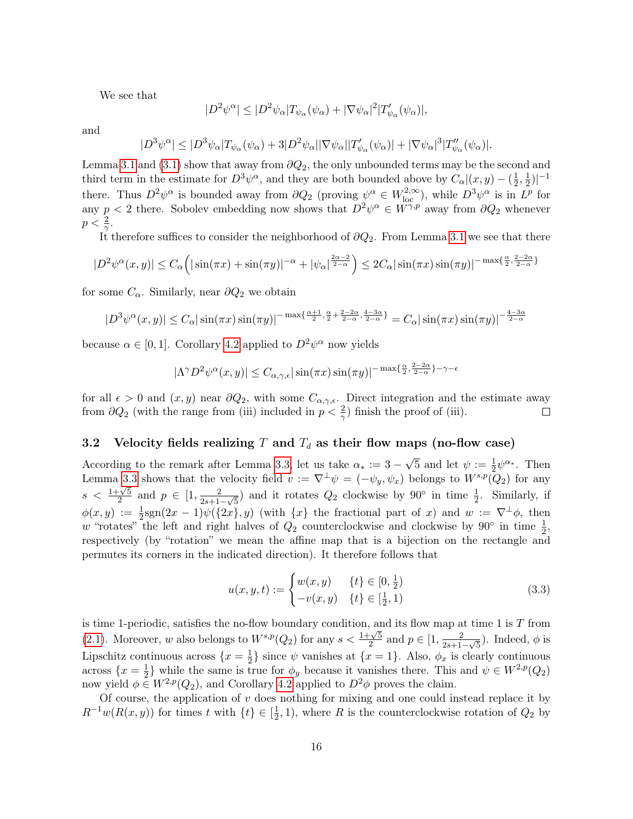We see that

$$
|D^2\psi^{\alpha}| \le |D^2\psi_{\alpha}|T_{\psi_{\alpha}}(\psi_{\alpha}) + |\nabla\psi_{\alpha}|^2|T'_{\psi_{\alpha}}(\psi_{\alpha})|,
$$

and

$$
|D^3\psi^\alpha|\leq |D^3\psi_\alpha|T_{\psi_\alpha}(\psi_\alpha)+3|D^2\psi_\alpha||\nabla\psi_\alpha||T_{\psi_\alpha}'(\psi_\alpha)|+|\nabla\psi_\alpha|^3|T_{\psi_\alpha}''(\psi_\alpha)|.
$$

Lemma [3.1](#page-12-0) and [\(3.1\)](#page-13-0) show that away from  $\partial Q_2$ , the only unbounded terms may be the second and third term in the estimate for  $D^3\psi^{\alpha}$ , and they are both bounded above by  $C_{\alpha}|(x,y)-\left(\frac{1}{2}\right)$  $\frac{1}{2}, \frac{1}{2}$  $\frac{1}{2}\big)\big|^{-1}$ there. Thus  $D^2\psi^\alpha$  is bounded away from  $\partial Q_2$  (proving  $\psi^\alpha \in W^{2,\infty}_{loc}$ ), while  $D^3\psi^\alpha$  is in  $L^p$  for any  $p < 2$  there. Sobolev embedding now shows that  $D^2 \psi^\alpha \in W^{\gamma,p}$  away from  $\partial Q_2$  whenever  $p < \frac{2}{\gamma}$ .

It therefore suffices to consider the neighborhood of  $\partial Q_2$ . From Lemma [3.1](#page-12-0) we see that there

$$
|D^2\psi^{\alpha}(x,y)| \le C_{\alpha} \left( |\sin(\pi x) + \sin(\pi y)|^{-\alpha} + |\psi_{\alpha}|^{\frac{2\alpha - 2}{2 - \alpha}} \right) \le 2C_{\alpha} |\sin(\pi x) \sin(\pi y)|^{-\max\{\frac{\alpha}{2}, \frac{2 - 2\alpha}{2 - \alpha}\}}.
$$

for some  $C_{\alpha}$ . Similarly, near  $\partial Q_2$  we obtain

$$
|D^3\psi^{\alpha}(x,y)| \leq C_{\alpha} |\sin(\pi x)\sin(\pi y)|^{-\max\{\frac{\alpha+1}{2},\frac{\alpha}{2}+\frac{2-2\alpha}{2-\alpha},\frac{4-3\alpha}{2-\alpha}\}} = C_{\alpha} |\sin(\pi x)\sin(\pi y)|^{-\frac{4-3\alpha}{2-\alpha}}
$$

because  $\alpha \in [0, 1]$ . Corollary [4.2](#page-24-0) applied to  $D^2 \psi^{\alpha}$  now yields

$$
|\Lambda^{\gamma}D^{2}\psi^{\alpha}(x,y)| \leq C_{\alpha,\gamma,\epsilon} |\sin(\pi x)\sin(\pi y)|^{-\max\{\frac{\alpha}{2},\frac{2-2\alpha}{2-\alpha}\}-\gamma-\epsilon}
$$

for all  $\epsilon > 0$  and  $(x, y)$  near  $\partial Q_2$ , with some  $C_{\alpha, \gamma, \epsilon}$ . Direct integration and the estimate away from  $\partial Q_2$  (with the range from (iii) included in  $p < \frac{2}{\gamma}$ ) finish the proof of (iii).  $\Box$ 

### 3.2 Velocity fields realizing T and  $T_d$  as their flow maps (no-flow case)

According to the remark after Lemma [3.3,](#page-14-0) let us take  $\alpha_* := 3 - 1$  $\sqrt{5}$  and let  $\psi := \frac{1}{2} \psi^{\alpha_*}$ . Then Lemma [3.3](#page-14-0) shows that the velocity field  $v := \nabla^{\perp}\psi = (-\psi_y, \psi_x)$  belongs to  $W^{s,p}(\mathcal{Q}_2)$  for any  $s < \frac{1+\sqrt{5}}{2}$  $\frac{1}{2} \sqrt{5}$  and  $p \in [1, \frac{2}{2s+1}]$  $\frac{2}{2s+1-\sqrt{5}}$  and it rotates  $Q_2$  clockwise by 90° in time  $\frac{1}{2}$ . Similarly, if  $\phi(x,y) := \frac{1}{2} \text{sgn}(2x-1) \psi(\{2x\},y)$  (with  $\{x\}$  the fractional part of x) and  $w := \nabla^{\perp} \phi$ , then w "rotates" the left and right halves of  $Q_2$  counterclockwise and clockwise by  $90°$  in time  $\frac{1}{2}$ , respectively (by "rotation" we mean the affine map that is a bijection on the rectangle and permutes its corners in the indicated direction). It therefore follows that

<span id="page-15-0"></span>
$$
u(x, y, t) := \begin{cases} w(x, y) & \{t\} \in [0, \frac{1}{2}) \\ -v(x, y) & \{t\} \in [\frac{1}{2}, 1) \end{cases}
$$
(3.3)

is time 1-periodic, satisfies the no-flow boundary condition, and its flow map at time 1 is  $T$  from [\(2.1\)](#page-6-1). Moreover, w also belongs to  $W^{s,p}(Q_2)$  for any  $s < \frac{1+\sqrt{5}}{2}$  $\frac{1}{2} \sqrt{5}$  and  $p \in [1, \frac{2}{2s+1}]$  $\frac{2}{2s+1-\sqrt{5}}$ ). Indeed,  $\phi$  is Lipschitz continuous across  $\{x=\frac{1}{2}\}$  $\frac{1}{2}$  since  $\psi$  vanishes at  $\{x=1\}$ . Also,  $\phi_x$  is clearly continuous across  $\{x=\frac{1}{2}\}$  $\frac{1}{2}$  while the same is true for  $\phi_y$  because it vanishes there. This and  $\psi \in W^{2,p}(Q_2)$ now yield  $\phi \in W^{2,p}(Q_2)$ , and Corollary [4.2](#page-24-0) applied to  $D^2\phi$  proves the claim.

Of course, the application of  $v$  does nothing for mixing and one could instead replace it by  $R^{-1}w(R(x, y))$  for times t with  $\{t\} \in \left[\frac{1}{2}\right]$  $(\frac{1}{2}, 1)$ , where R is the counterclockwise rotation of  $Q_2$  by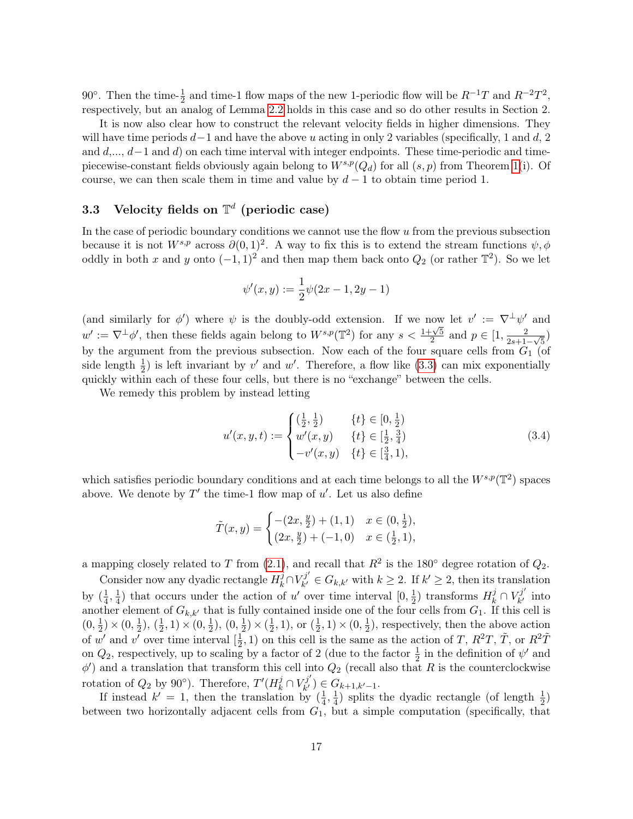90<sup>°</sup>. Then the time- $\frac{1}{2}$  and time-1 flow maps of the new 1-periodic flow will be  $R^{-1}T$  and  $R^{-2}T^2$ , respectively, but an analog of Lemma [2.2](#page-7-1) holds in this case and so do other results in Section 2.

It is now also clear how to construct the relevant velocity fields in higher dimensions. They will have time periods  $d-1$  and have the above u acting in only 2 variables (specifically, 1 and d, 2 and  $d, \ldots, d-1$  and d) on each time interval with integer endpoints. These time-periodic and timepiecewise-constant fields obviously again belong to  $W^{s,p}(Q_d)$  for all  $(s, p)$  from Theorem [1\(](#page-0-1)i). Of course, we can then scale them in time and value by  $d-1$  to obtain time period 1.

# 3.3 Velocity fields on  $\mathbb{T}^d$  (periodic case)

In the case of periodic boundary conditions we cannot use the flow  $u$  from the previous subsection because it is not  $W^{s,p}$  across  $\partial(0,1)^2$ . A way to fix this is to extend the stream functions  $\psi, \phi$ oddly in both x and y onto  $(-1, 1)^2$  and then map them back onto  $Q_2$  (or rather  $\mathbb{T}^2$ ). So we let

$$
\psi'(x,y) := \frac{1}{2}\psi(2x-1, 2y-1)
$$

(and similarly for  $\phi'$ ) where  $\psi$  is the doubly-odd extension. If we now let  $v' := \nabla^{\perp} \psi'$  and (and similarly for  $\psi$ ) where  $\psi$  is the doubly-odd extension. If we now  $w' := \nabla^{\perp} \phi'$ , then these fields again belong to  $W^{s,p}(\mathbb{T}^2)$  for any  $s < \frac{1+\sqrt{5}}{2}$  $\frac{1-\sqrt{5}}{2}$  and  $p \in [1, \frac{2}{2s+1}]$  $\frac{2}{2s+1-\sqrt{5}}$ by the argument from the previous subsection. Now each of the four square cells from  $G_1$  (of side length  $\frac{1}{2}$ ) is left invariant by v' and w'. Therefore, a flow like [\(3.3\)](#page-15-0) can mix exponentially quickly within each of these four cells, but there is no "exchange" between the cells.

We remedy this problem by instead letting

$$
u'(x, y, t) := \begin{cases} \left(\frac{1}{2}, \frac{1}{2}\right) & \{t\} \in [0, \frac{1}{2})\\ w'(x, y) & \{t\} \in [\frac{1}{2}, \frac{3}{4})\\ -v'(x, y) & \{t\} \in [\frac{3}{4}, 1), \end{cases}
$$
(3.4)

which satisfies periodic boundary conditions and at each time belongs to all the  $W^{s,p}(\mathbb{T}^2)$  spaces above. We denote by  $T'$  the time-1 flow map of  $u'$ . Let us also define

$$
\tilde{T}(x,y) = \begin{cases}\n-(2x, \frac{y}{2}) + (1,1) & x \in (0, \frac{1}{2}), \\
(2x, \frac{y}{2}) + (-1,0) & x \in (\frac{1}{2}, 1),\n\end{cases}
$$

a mapping closely related to T from [\(2.1\)](#page-6-1), and recall that  $R^2$  is the 180 $\textdegree$  degree rotation of  $Q_2$ .

Consider now any dyadic rectangle  $H^j_k\cap V^{j'}_{k'}$  $\mathcal{F}_{k'}^{j'} \in G_{k,k'}$  with  $k \geq 2$ . If  $k' \geq 2$ , then its translation by  $(\frac{1}{4})$  $\frac{1}{4}, \frac{1}{4}$  $\frac{1}{4}$ ) that occurs under the action of u' over time interval  $[0, \frac{1}{2}]$  $\frac{1}{2}$ ) transforms  $H_k^j \cap V_{k'}^{j'}$  $\chi_k^{\prime\prime}$  into another element of  $G_{k,k'}$  that is fully contained inside one of the four cells from  $G_1$ . If this cell is  $(0, \frac{1}{2})$  $(\frac{1}{2}) \times (0, \frac{1}{2})$  $(\frac{1}{2}), (\frac{1}{2})$  $(\frac{1}{2}, 1) \times (0, \frac{1}{2})$  $(\frac{1}{2}), (0, \frac{1}{2})$  $(\frac{1}{2}) \times (\frac{1}{2})$  $(\frac{1}{2}, 1)$ , or  $(\frac{1}{2})$  $(\frac{1}{2}, 1) \times (0, \frac{1}{2})$  $(\frac{1}{2})$ , respectively, then the above action of w' and v' over time interval  $\left[\frac{1}{2}\right]$  $(\frac{1}{2}, 1)$  on this cell is the same as the action of T,  $R^2T$ ,  $\tilde{T}$ , or  $R^2\tilde{T}$ on  $Q_2$ , respectively, up to scaling by a factor of 2 (due to the factor  $\frac{1}{2}$  in the definition of  $\psi'$  and  $\phi'$ ) and a translation that transform this cell into  $Q_2$  (recall also that R is the counterclockwise rotation of  $Q_2$  by 90°). Therefore,  $T'(H_k^j \cap V_{k'}^{j'}$  $G_{k'}^{j}$ )  $\in G_{k+1,k'-1}.$ 

If instead  $k' = 1$ , then the translation by  $\left(\frac{1}{4}\right)$  $\frac{1}{4}, \frac{1}{4}$  $\frac{1}{4}$ ) splits the dyadic rectangle (of length  $\frac{1}{2}$ ) between two horizontally adjacent cells from  $G_1$ , but a simple computation (specifically, that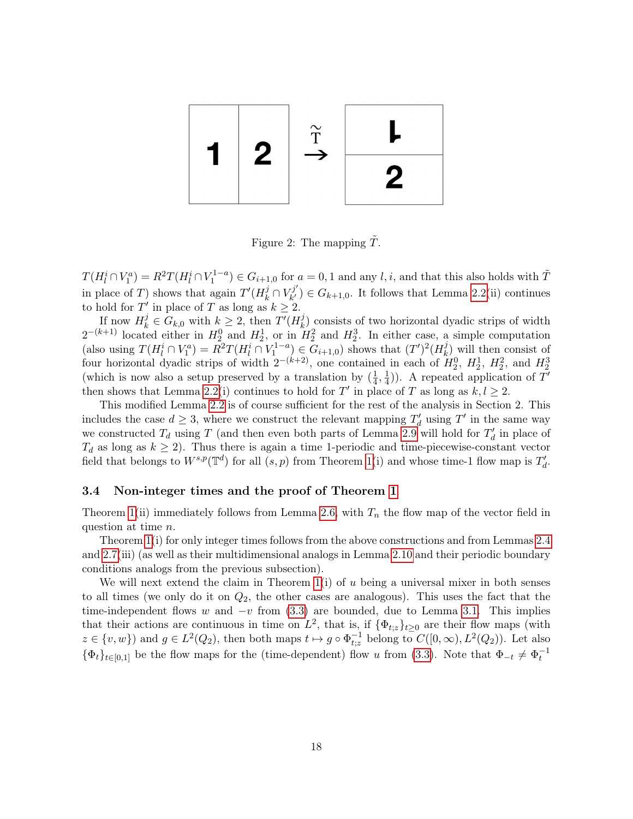

Figure 2: The mapping  $T$ .

 $T(H_l^i \cap V_1^a) = R^2 T(H_l^i \cap V_1^{1-a}) \in G_{i+1,0}$  for  $a = 0,1$  and any  $l, i$ , and that this also holds with  $\tilde{T}$ in place of T) shows that again  $T'(H_k^j \cap V_{k'}^{j'})$  $C_{k'}^{(j)}$   $\in G_{k+1,0}$ . It follows that Lemma [2.2\(](#page-7-1)ii) continues to hold for T' in place of T as long as  $k \geq 2$ .

If now  $H_k^j \in G_{k,0}$  with  $k \geq 2$ , then  $T'(H_k^j)$  $\binom{J}{k}$  consists of two horizontal dyadic strips of width  $2^{-(k+1)}$  located either in  $H_2^0$  and  $H_2^1$ , or in  $H_2^2$  and  $H_2^3$ . In either case, a simple computation (also using  $T(H_l^i \cap V_1^a) = R^2 T(H_l^i \cap V_1^{1-a}) \in G_{i+1,0}$ ) shows that  $(T')^2(H_k^j)$  $\binom{J}{k}$  will then consist of four horizontal dyadic strips of width  $2^{-(k+2)}$ , one contained in each of  $H_2^0$ ,  $H_2^1$ ,  $H_2^2$ , and  $H_2^3$ (which is now also a setup preserved by a translation by  $\left(\frac{1}{4}\right)$  $\frac{1}{4}, \frac{1}{4}$  $(\frac{1}{4})$ ). A repeated application of T' then shows that Lemma [2.2\(](#page-7-1)i) continues to hold for T' in place of T as long as  $k, l \geq 2$ .

This modified Lemma [2.2](#page-7-1) is of course sufficient for the rest of the analysis in Section 2. This includes the case  $d \geq 3$ , where we construct the relevant mapping  $T'_d$  using  $T'$  in the same way we constructed  $T_d$  using T (and then even both parts of Lemma [2.9](#page-11-0) will hold for  $T'_d$  in place of  $T_d$  as long as  $k \geq 2$ ). Thus there is again a time 1-periodic and time-piecewise-constant vector field that belongs to  $W^{s,p}(\mathbb{T}^d)$  for all  $(s, p)$  from Theorem [1\(](#page-0-1)i) and whose time-1 flow map is  $T'_d$ .

#### 3.4 Non-integer times and the proof of Theorem [1](#page-0-1)

Theorem [1\(](#page-0-1)ii) immediately follows from Lemma [2.6,](#page-9-1) with  $T_n$  the flow map of the vector field in question at time n.

Theorem [1\(](#page-0-1)i) for only integer times follows from the above constructions and from Lemmas [2.4](#page-8-1) and [2.7\(](#page-9-0)iii) (as well as their multidimensional analogs in Lemma [2.10](#page-11-1) and their periodic boundary conditions analogs from the previous subsection).

We will next extend the claim in Theorem  $1(i)$  of u being a universal mixer in both senses to all times (we only do it on  $Q_2$ , the other cases are analogous). This uses the fact that the time-independent flows w and  $-v$  from [\(3.3\)](#page-15-0) are bounded, due to Lemma [3.1.](#page-12-0) This implies that their actions are continuous in time on  $L^2$ , that is, if  $\{\Phi_{t,z}\}_{t\geq 0}$  are their flow maps (with  $z \in \{v, w\}$  and  $g \in L^2(Q_2)$ , then both maps  $t \mapsto g \circ \Phi_{t,z}^{-1}$  belong to  $C([0, \infty), L^2(Q_2))$ . Let also  ${\lbrace \Phi_t \rbrace}_{t \in [0,1]}$  be the flow maps for the (time-dependent) flow u from [\(3.3\)](#page-15-0). Note that  $\Phi_{-t} \neq \Phi_t^{-1}$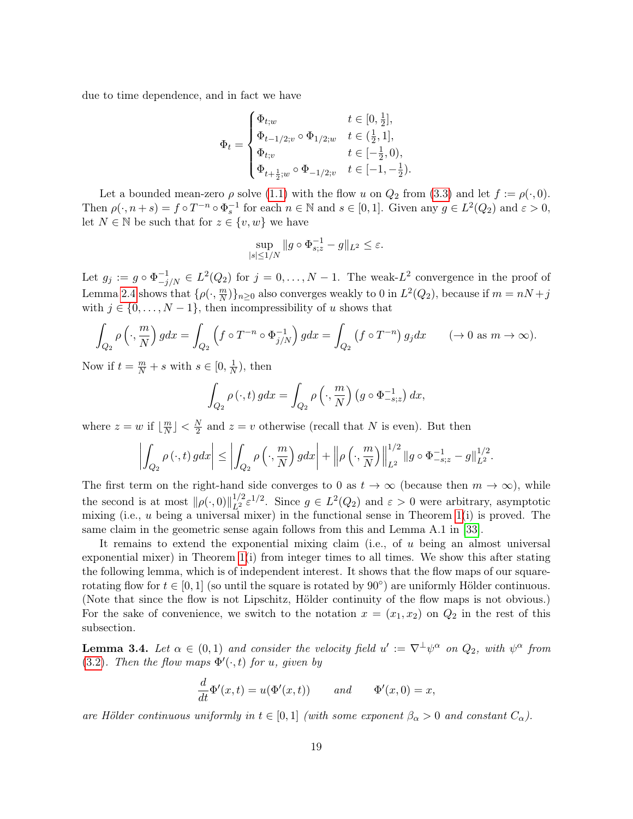due to time dependence, and in fact we have

$$
\Phi_t = \begin{cases} \Phi_{t;w} & t \in [0,\frac{1}{2}],\\ \Phi_{t-1/2;v} \circ \Phi_{1/2;w} & t \in (\frac{1}{2},1],\\ \Phi_{t;v} & t \in [-\frac{1}{2},0),\\ \Phi_{t+\frac{1}{2};w} \circ \Phi_{-1/2;v} & t \in [-1,-\frac{1}{2}). \end{cases}
$$

Let a bounded mean-zero  $\rho$  solve [\(1.1\)](#page-0-0) with the flow u on  $Q_2$  from [\(3.3\)](#page-15-0) and let  $f := \rho(\cdot, 0)$ . Then  $\rho(\cdot, n+s) = f \circ T^{-n} \circ \Phi_s^{-1}$  for each  $n \in \mathbb{N}$  and  $s \in [0,1]$ . Given any  $g \in L^2(Q_2)$  and  $\varepsilon > 0$ , let  $N \in \mathbb{N}$  be such that for  $z \in \{v, w\}$  we have

$$
\sup_{|s| \le 1/N} \|g \circ \Phi_{s;z}^{-1} - g\|_{L^2} \le \varepsilon.
$$

Let  $g_j := g \circ \Phi_{-j/N}^{-1} \in L^2(Q_2)$  for  $j = 0, \ldots, N-1$ . The weak- $L^2$  convergence in the proof of Lemma [2.4](#page-8-1) shows that  $\{\rho(\cdot,\frac{m}{N}\})$  $\binom{m}{N}$ ,  $n \geq 0$  also converges weakly to 0 in  $L^2(Q_2)$ , because if  $m = nN + j$ with  $j \in \{0, \ldots, N-1\}$ , then incompressibility of u shows that

$$
\int_{Q_2} \rho\left(\cdot, \frac{m}{N}\right) g dx = \int_{Q_2} \left(f \circ T^{-n} \circ \Phi_{j/N}^{-1}\right) g dx = \int_{Q_2} \left(f \circ T^{-n}\right) g_j dx \qquad (\to 0 \text{ as } m \to \infty).
$$

Now if  $t = \frac{m}{N} + s$  with  $s \in [0, \frac{1}{N}]$  $\frac{1}{N}$ , then

$$
\int_{Q_2} \rho(\cdot, t) g dx = \int_{Q_2} \rho\left(\cdot, \frac{m}{N}\right) \left(g \circ \Phi_{-s;z}^{-1}\right) dx,
$$

where  $z = w$  if  $\left| \frac{m}{N} \right|$  $\frac{m}{N}$  |  $\lt \frac{N}{2}$  $\frac{N}{2}$  and  $z = v$  otherwise (recall that N is even). But then

$$
\left| \int_{Q_2} \rho(\cdot, t) \, g dx \right| \le \left| \int_{Q_2} \rho\left(\cdot, \frac{m}{N}\right) g dx \right| + \left\| \rho\left(\cdot, \frac{m}{N}\right) \right\|_{L^2}^{1/2} \|g \circ \Phi_{-s;z}^{-1} - g\|_{L^2}^{1/2}.
$$

The first term on the right-hand side converges to 0 as  $t \to \infty$  (because then  $m \to \infty$ ), while the second is at most  $\|\rho(\cdot, 0)\|_{L^2}^{1/2} \varepsilon^{1/2}$ . Since  $g \in L^2(Q_2)$  and  $\varepsilon > 0$  were arbitrary, asymptotic mixing (i.e.,  $u$  being a universal mixer) in the functional sense in Theorem [1\(](#page-0-1)i) is proved. The same claim in the geometric sense again follows from this and Lemma A.1 in [\[33\]](#page-27-3).

It remains to extend the exponential mixing claim (i.e., of u being an almost universal exponential mixer) in Theorem [1\(](#page-0-1)i) from integer times to all times. We show this after stating the following lemma, which is of independent interest. It shows that the flow maps of our squarerotating flow for  $t \in [0, 1]$  (so until the square is rotated by  $90^{\circ}$ ) are uniformly Hölder continuous. (Note that since the flow is not Lipschitz, Hölder continuity of the flow maps is not obvious.) For the sake of convenience, we switch to the notation  $x = (x_1, x_2)$  on  $Q_2$  in the rest of this subsection.

<span id="page-18-0"></span>**Lemma 3.4.** Let  $\alpha \in (0,1)$  and consider the velocity field  $u' := \nabla^{\perp} \psi^{\alpha}$  on  $Q_2$ , with  $\psi^{\alpha}$  from [\(3.2\)](#page-14-1). Then the flow maps  $\Phi'(\cdot,t)$  for u, given by

$$
\frac{d}{dt}\Phi'(x,t) = u(\Phi'(x,t)) \qquad and \qquad \Phi'(x,0) = x,
$$

are Hölder continuous uniformly in  $t \in [0,1]$  (with some exponent  $\beta_{\alpha} > 0$  and constant  $C_{\alpha}$ ).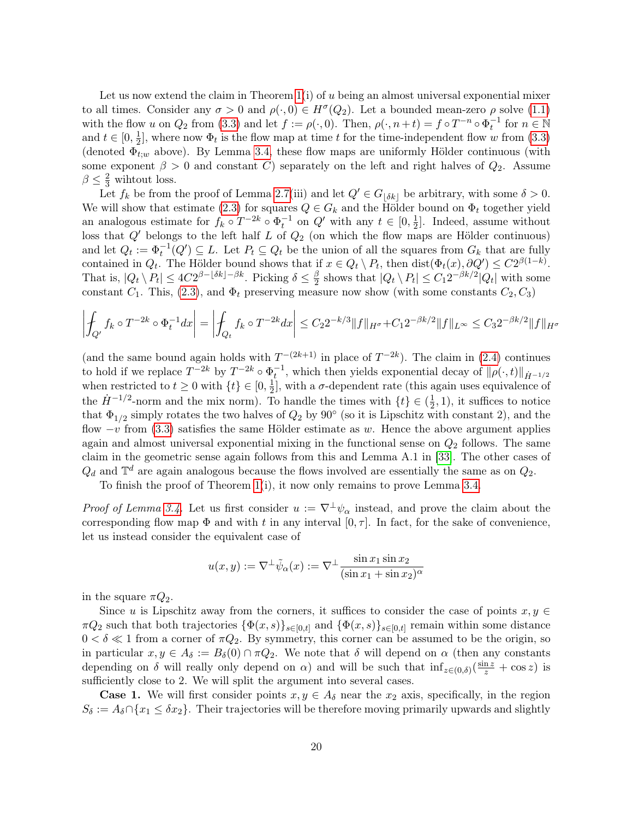Let us now extend the claim in Theorem  $1(i)$  of u being an almost universal exponential mixer to all times. Consider any  $\sigma > 0$  and  $\rho(\cdot, 0) \in H^{\sigma}(Q_2)$ . Let a bounded mean-zero  $\rho$  solve [\(1.1\)](#page-0-0) with the flow u on  $Q_2$  from [\(3.3\)](#page-15-0) and let  $f := \rho(\cdot, 0)$ . Then,  $\rho(\cdot, n+t) = f \circ T^{-n} \circ \Phi_t^{-1}$  for  $n \in \mathbb{N}$ and  $t \in [0, \frac{1}{2}]$  $\frac{1}{2}$ , where now  $\Phi_t$  is the flow map at time t for the time-independent flow w from [\(3.3\)](#page-15-0) (denoted  $\Phi_{t,w}$  above). By Lemma [3.4,](#page-18-0) these flow maps are uniformly Hölder continuous (with some exponent  $\beta > 0$  and constant C) separately on the left and right halves of  $Q_2$ . Assume  $\beta \leq \frac{2}{3}$  wihtout loss.

Let  $f_k$  be from the proof of Lemma [2.7\(](#page-9-0)iii) and let  $Q' \in G_{\delta k}$  be arbitrary, with some  $\delta > 0$ . We will show that estimate [\(2.3\)](#page-10-0) for squares  $Q \in G_k$  and the Hölder bound on  $\Phi_t$  together yield an analogous estimate for  $f_k \circ T^{-2k} \circ \Phi_t^{-1}$  on  $Q'$  with any  $t \in [0, \frac{1}{2}]$  $\frac{1}{2}$ . Indeed, assume without loss that  $Q'$  belongs to the left half L of  $Q_2$  (on which the flow maps are Hölder continuous) and let  $Q_t := \Phi_t^{-1}(Q') \subseteq L$ . Let  $P_t \subseteq Q_t$  be the union of all the squares from  $G_k$  that are fully contained in  $Q_t$ . The Hölder bound shows that if  $x \in Q_t \setminus P_t$ , then  $dist(\Phi_t(x), \partial Q') \leq C2^{\beta(1-k)}$ . That is,  $|Q_t \setminus P_t| \leq 4C2^{\beta - \lfloor \delta k \rfloor - \beta k}$ . Picking  $\delta \leq \frac{\beta}{2}$  $\frac{\beta}{2}$  shows that  $|Q_t \setminus P_t| \leq C_1 2^{-\beta k/2} |Q_t|$  with some constant  $C_1$ . This, [\(2.3\)](#page-10-0), and  $\Phi_t$  preserving measure now show (with some constants  $C_2, C_3$ )

$$
\left| \int_{Q'} f_k \circ T^{-2k} \circ \Phi_t^{-1} dx \right| = \left| \int_{Q_t} f_k \circ T^{-2k} dx \right| \leq C_2 2^{-k/3} \|f\|_{H^{\sigma}} + C_1 2^{-\beta k/2} \|f\|_{L^{\infty}} \leq C_3 2^{-\beta k/2} \|f\|_{H^{\sigma}}
$$

(and the same bound again holds with  $T^{-(2k+1)}$  in place of  $T^{-2k}$ ). The claim in [\(2.4\)](#page-10-1) continues to hold if we replace  $T^{-2k}$  by  $T^{-2k} \circ \Phi_t^{-1}$ , which then yields exponential decay of  $\|\rho(\cdot,t)\|_{\dot{H}^{-1/2}}$ when restricted to  $t \geq 0$  with  $\{t\} \in [0, \frac{1}{2}]$  $\frac{1}{2}$ , with a  $\sigma$ -dependent rate (this again uses equivalence of the  $\dot{H}^{-1/2}$ -norm and the mix norm). To handle the times with  $\{t\} \in (\frac{1}{2})$  $(\frac{1}{2}, 1)$ , it suffices to notice that  $\Phi_{1/2}$  simply rotates the two halves of  $Q_2$  by  $90^{\circ}$  (so it is Lipschitz with constant 2), and the flow  $-v$  from [\(3.3\)](#page-15-0) satisfies the same Hölder estimate as w. Hence the above argument applies again and almost universal exponential mixing in the functional sense on  $Q_2$  follows. The same claim in the geometric sense again follows from this and Lemma A.1 in [\[33\]](#page-27-3). The other cases of  $Q_d$  and  $\mathbb{T}^d$  are again analogous because the flows involved are essentially the same as on  $Q_2$ .

To finish the proof of Theorem [1\(](#page-0-1)i), it now only remains to prove Lemma [3.4.](#page-18-0)

*Proof of Lemma [3.4.](#page-18-0)* Let us first consider  $u := \nabla^{\perp}\psi_{\alpha}$  instead, and prove the claim about the corresponding flow map  $\Phi$  and with t in any interval  $[0, \tau]$ . In fact, for the sake of convenience, let us instead consider the equivalent case of

$$
u(x,y) := \nabla^{\perp} \tilde{\psi}_{\alpha}(x) := \nabla^{\perp} \frac{\sin x_1 \sin x_2}{(\sin x_1 + \sin x_2)^{\alpha}}
$$

in the square  $\pi Q_2$ .

Since u is Lipschitz away from the corners, it suffices to consider the case of points  $x, y \in$  $\pi Q_2$  such that both trajectories  $\{\Phi(x,s)\}_{s\in[0,t]}$  and  $\{\Phi(x,s)\}_{s\in[0,t]}$  remain within some distance  $0 < \delta \ll 1$  from a corner of  $\pi Q_2$ . By symmetry, this corner can be assumed to be the origin, so in particular  $x, y \in A_\delta := B_\delta(0) \cap \pi Q_2$ . We note that  $\delta$  will depend on  $\alpha$  (then any constants depending on  $\delta$  will really only depend on  $\alpha$ ) and will be such that  $\inf_{z\in(0,\delta)}(\frac{\sin z}{z}+\cos z)$  is sufficiently close to 2. We will split the argument into several cases.

**Case 1.** We will first consider points  $x, y \in A_{\delta}$  near the  $x_2$  axis, specifically, in the region  $S_{\delta} := A_{\delta} \cap \{x_1 \leq \delta x_2\}.$  Their trajectories will be therefore moving primarily upwards and slightly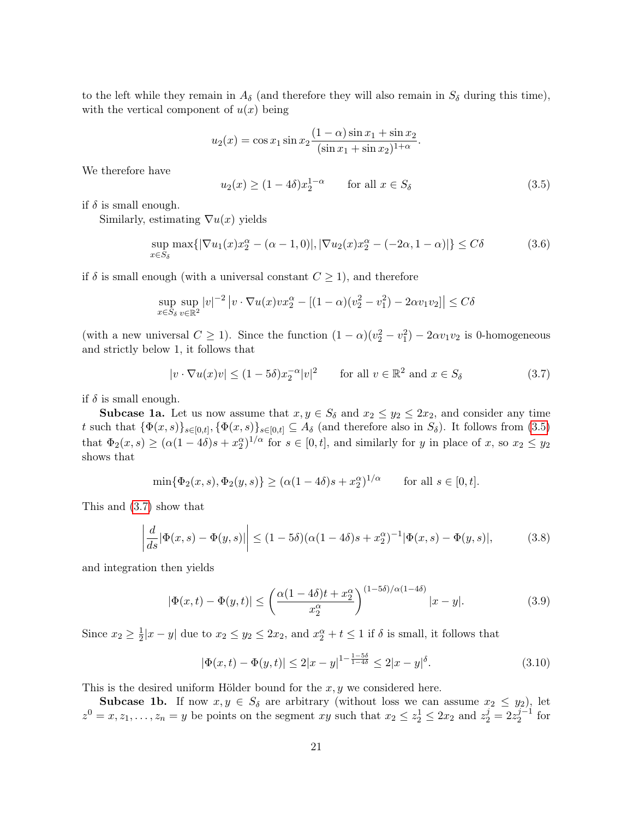to the left while they remain in  $A_{\delta}$  (and therefore they will also remain in  $S_{\delta}$  during this time), with the vertical component of  $u(x)$  being

$$
u_2(x) = \cos x_1 \sin x_2 \frac{(1-\alpha)\sin x_1 + \sin x_2}{(\sin x_1 + \sin x_2)^{1+\alpha}}.
$$

We therefore have

<span id="page-20-0"></span>
$$
u_2(x) \ge (1 - 4\delta)x_2^{1 - \alpha} \qquad \text{for all } x \in S_\delta \tag{3.5}
$$

if  $\delta$  is small enough.

Similarly, estimating  $\nabla u(x)$  yields

<span id="page-20-3"></span>
$$
\sup_{x \in S_{\delta}} \max\{|\nabla u_1(x)x_2^{\alpha} - (\alpha - 1, 0)|, |\nabla u_2(x)x_2^{\alpha} - (-2\alpha, 1 - \alpha)|\} \le C\delta
$$
\n(3.6)

if  $\delta$  is small enough (with a universal constant  $C \geq 1$ ), and therefore

$$
\sup_{x \in S_{\delta}} \sup_{v \in \mathbb{R}^2} |v|^{-2} |v \cdot \nabla u(x) v x_2^{\alpha} - [(1 - \alpha)(v_2^2 - v_1^2) - 2\alpha v_1 v_2]| \le C\delta
$$

(with a new universal  $C \ge 1$ ). Since the function  $(1 - \alpha)(v_2^2 - v_1^2) - 2\alpha v_1 v_2$  is 0-homogeneous and strictly below 1, it follows that

<span id="page-20-1"></span>
$$
|v \cdot \nabla u(x)v| \le (1 - 5\delta)x_2^{-\alpha}|v|^2 \qquad \text{for all } v \in \mathbb{R}^2 \text{ and } x \in S_\delta \tag{3.7}
$$

if  $\delta$  is small enough.

**Subcase 1a.** Let us now assume that  $x, y \in S_\delta$  and  $x_2 \le y_2 \le 2x_2$ , and consider any time t such that  $\{\Phi(x,s)\}_{s\in[0,t]}, \{\Phi(x,s)\}_{s\in[0,t]} \subseteq A_{\delta}$  (and therefore also in  $S_{\delta}$ ). It follows from [\(3.5\)](#page-20-0) that  $\Phi_2(x,s) \geq (\alpha(1-4\delta)s + x_2^{\alpha})^{1/\alpha}$  for  $s \in [0,t]$ , and similarly for y in place of x, so  $x_2 \leq y_2$ shows that

$$
\min{\{\Phi_2(x,s), \Phi_2(y,s)\}} \ge (\alpha(1-4\delta)s + x_2^{\alpha})^{1/\alpha} \quad \text{for all } s \in [0,t].
$$

This and [\(3.7\)](#page-20-1) show that

<span id="page-20-4"></span>
$$
\left| \frac{d}{ds} |\Phi(x, s) - \Phi(y, s)| \right| \le (1 - 5\delta) (\alpha (1 - 4\delta)s + x_2^{\alpha})^{-1} |\Phi(x, s) - \Phi(y, s)|,
$$
 (3.8)

and integration then yields

$$
|\Phi(x,t) - \Phi(y,t)| \le \left(\frac{\alpha(1-4\delta)t + x_2^{\alpha}}{x_2^{\alpha}}\right)^{(1-5\delta)/\alpha(1-4\delta)} |x-y|.
$$
\n(3.9)

Since  $x_2 \geq \frac{1}{2}$  $\frac{1}{2}|x-y|$  due to  $x_2 \leq y_2 \leq 2x_2$ , and  $x_2^{\alpha} + t \leq 1$  if  $\delta$  is small, it follows that

<span id="page-20-2"></span>
$$
|\Phi(x,t) - \Phi(y,t)| \le 2|x-y|^{1 - \frac{1-5\delta}{1-4\delta}} \le 2|x-y|^{\delta}.
$$
\n(3.10)

This is the desired uniform Hölder bound for the  $x, y$  we considered here.

Subcase 1b. If now  $x, y \in S_\delta$  are arbitrary (without loss we can assume  $x_2 \leq y_2$ ), let  $z^0 = x, z_1, \ldots, z_n = y$  be points on the segment  $xy$  such that  $x_2 \leq z_2^1 \leq 2x_2$  and  $z_2^j = 2z_2^{j-1}$  $i_2^{j-1}$  for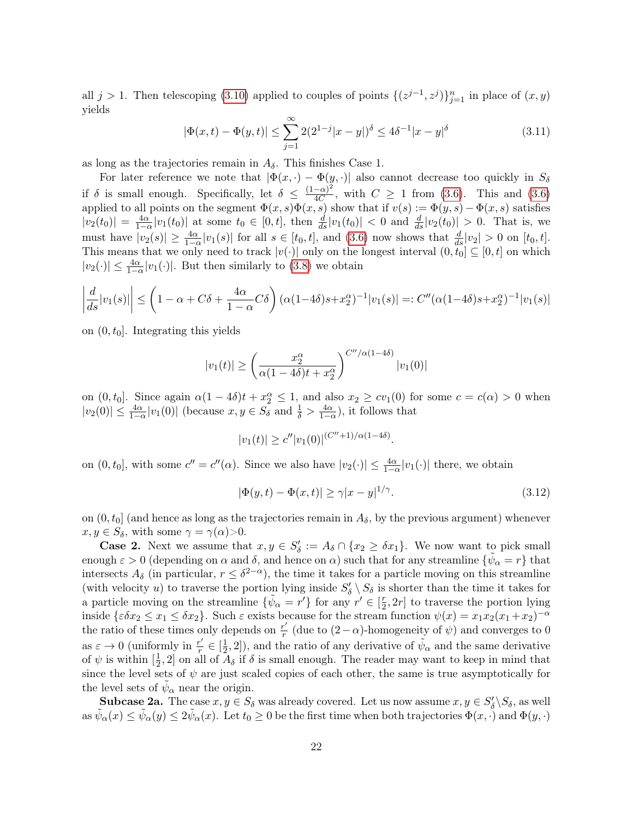all  $j > 1$ . Then telescoping [\(3.10\)](#page-20-2) applied to couples of points  $\{(z^{j-1}, z^j)\}_{j=1}^n$  in place of  $(x, y)$ yields

<span id="page-21-0"></span>
$$
|\Phi(x,t) - \Phi(y,t)| \le \sum_{j=1}^{\infty} 2(2^{1-j}|x-y|)^{\delta} \le 4\delta^{-1}|x-y|^{\delta}
$$
\n(3.11)

as long as the trajectories remain in  $A_{\delta}$ . This finishes Case 1.

For later reference we note that  $|\Phi(x, \cdot) - \Phi(y, \cdot)|$  also cannot decrease too quickly in  $S_\delta$ if  $\delta$  is small enough. Specifically, let  $\delta \leq \frac{(1-\alpha)^2}{4C}$  $\frac{(-\alpha)^2}{4C}$ , with  $C \geq 1$  from [\(3.6\)](#page-20-3). This and (3.6) applied to all points on the segment  $\Phi(x, s)\Phi(x, s)$  show that if  $v(s) := \Phi(y, s) - \Phi(x, s)$  satisfies  $|v_2(t_0)| = \frac{4\alpha}{1-\alpha}|v_1(t_0)|$  at some  $t_0 \in [0, t]$ , then  $\frac{d}{ds}|v_1(t_0)| < 0$  and  $\frac{d}{ds}|v_2(t_0)| > 0$ . That is, we must have  $|v_2(s)| \ge \frac{4\alpha}{1-\alpha}|v_1(s)|$  for all  $s \in [t_0, t]$ , and  $(3.6)$  now shows that  $\frac{d}{ds}|v_2| > 0$  on  $[t_0, t]$ . This means that we only need to track  $|v(\cdot)|$  only on the longest interval  $(0, \tilde{t}_0] \subseteq [0, t]$  on which  $|v_2(\cdot)| \leq \frac{4\alpha}{1-\alpha}|v_1(\cdot)|$ . But then similarly to [\(3.8\)](#page-20-4) we obtain

$$
\left| \frac{d}{ds} |v_1(s)| \right| \le \left( 1 - \alpha + C\delta + \frac{4\alpha}{1 - \alpha} C\delta \right) (\alpha (1 - 4\delta)s + x_2^{\alpha})^{-1} |v_1(s)| =: C''(\alpha (1 - 4\delta)s + x_2^{\alpha})^{-1} |v_1(s)|
$$

on  $(0, t_0]$ . Integrating this yields

$$
|v_1(t)| \ge \left(\frac{x_2^{\alpha}}{\alpha(1-4\delta)t + x_2^{\alpha}}\right)^{C''/\alpha(1-4\delta)} |v_1(0)|
$$

on  $(0, t_0]$ . Since again  $\alpha(1 - 4\delta)t + x_2^{\alpha} \le 1$ , and also  $x_2 \ge cv_1(0)$  for some  $c = c(\alpha) > 0$  when  $|v_2(0)| \leq \frac{4\alpha}{1-\alpha}|v_1(0)|$  (because  $x, y \in S_\delta$  and  $\frac{1}{\delta} > \frac{4\alpha}{1-\alpha}$ ), it follows that

$$
|v_1(t)| \ge c'' |v_1(0)|^{(C''+1)/\alpha(1-4\delta)}
$$

on  $(0, t_0]$ , with some  $c'' = c''(\alpha)$ . Since we also have  $|v_2(\cdot)| \leq \frac{4\alpha}{1-\alpha}|v_1(\cdot)|$  there, we obtain

<span id="page-21-1"></span>
$$
|\Phi(y,t) - \Phi(x,t)| \ge \gamma |x - y|^{1/\gamma}.
$$
\n(3.12)

.

on  $(0, t_0]$  (and hence as long as the trajectories remain in  $A_\delta$ , by the previous argument) whenever  $x, y \in S_{\delta}$ , with some  $\gamma = \gamma(\alpha) > 0$ .

**Case 2.** Next we assume that  $x, y \in S'_\delta := A_\delta \cap \{x_2 \geq \delta x_1\}$ . We now want to pick small enough  $\varepsilon > 0$  (depending on  $\alpha$  and  $\delta$ , and hence on  $\alpha$ ) such that for any streamline  $\{\tilde{\psi}_{\alpha} = r\}$  that intersects  $A_{\delta}$  (in particular,  $r \leq \delta^{2-\alpha}$ ), the time it takes for a particle moving on this streamline (with velocity u) to traverse the portion lying inside  $S'_\delta \setminus S_\delta$  is shorter than the time it takes for a particle moving on the streamline  $\{\tilde{\psi}_{\alpha} = r'\}$  for any  $r' \in \left[\frac{r}{2}\right]$  $\frac{r}{2}$ , 2r] to traverse the portion lying inside  $\{\varepsilon \delta x_2 \le x_1 \le \delta x_2\}$ . Such  $\varepsilon$  exists because for the stream function  $\psi(x) = x_1 x_2 (x_1 + x_2)^{-\alpha}$ the ratio of these times only depends on  $\frac{r'}{r}$  $\frac{r'}{r}$  (due to  $(2-\alpha)$ -homogeneity of  $\psi$ ) and converges to 0 as  $\varepsilon \to 0$  (uniformly in  $\frac{r'}{r}$  $\frac{r'}{r} \in \left[\frac{1}{2}\right]$  $(\frac{1}{2}, 2]$ ), and the ratio of any derivative of  $\tilde{\psi}_{\alpha}$  and the same derivative of  $\psi$  is within  $\left[\frac{1}{2}\right]$  $\frac{1}{2}$ , 2 on all of  $A_{\delta}$  if  $\delta$  is small enough. The reader may want to keep in mind that since the level sets of  $\psi$  are just scaled copies of each other, the same is true asymptotically for the level sets of  $\tilde{\psi}_{\alpha}$  near the origin.

**Subcase 2a.** The case  $x, y \in S_\delta$  was already covered. Let us now assume  $x, y \in S'_\delta \backslash S_\delta$ , as well  $\alpha \sin \tilde{\psi}_{\alpha}(x) \leq \tilde{\psi}_{\alpha}(y) \leq 2\tilde{\psi}_{\alpha}(x)$ . Let  $t_0 \geq 0$  be the first time when both trajectories  $\Phi(x, \cdot)$  and  $\Phi(y, \cdot)$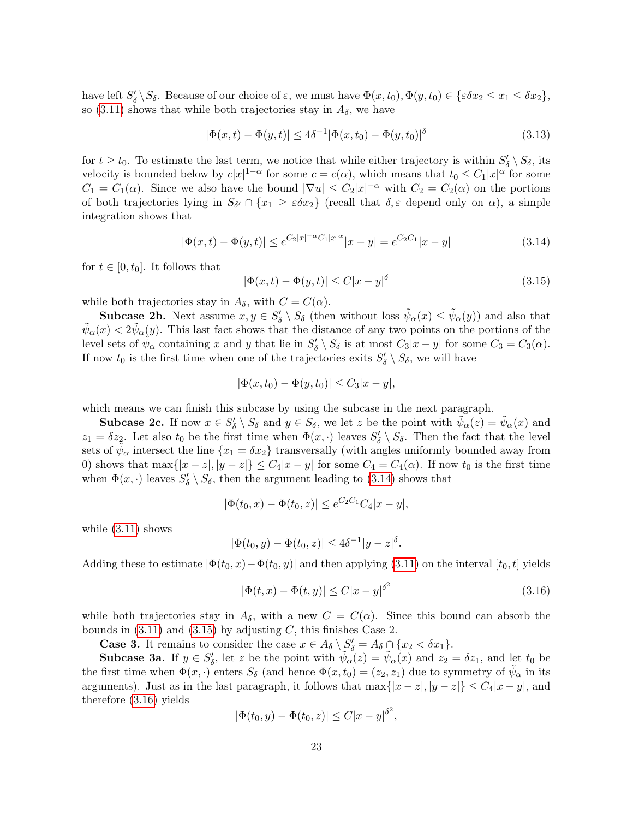have left  $S'_\delta \setminus S_\delta$ . Because of our choice of  $\varepsilon$ , we must have  $\Phi(x, t_0), \Phi(y, t_0) \in {\varepsilon} \delta x_2 \leq x_1 \leq \delta x_2$ , so [\(3.11\)](#page-21-0) shows that while both trajectories stay in  $A_{\delta}$ , we have

$$
|\Phi(x,t) - \Phi(y,t)| \le 4\delta^{-1} |\Phi(x,t_0) - \Phi(y,t_0)|^{\delta}
$$
\n(3.13)

for  $t \ge t_0$ . To estimate the last term, we notice that while either trajectory is within  $S'_\delta \setminus S_\delta$ , its velocity is bounded below by  $c|x|^{1-\alpha}$  for some  $c = c(\alpha)$ , which means that  $t_0 \leq C_1|x|^{\alpha}$  for some  $C_1 = C_1(\alpha)$ . Since we also have the bound  $|\nabla u| \leq C_2 |x|^{-\alpha}$  with  $C_2 = C_2(\alpha)$  on the portions of both trajectories lying in  $S_{\delta'} \cap \{x_1 \geq \varepsilon \delta x_2\}$  (recall that  $\delta, \varepsilon$  depend only on  $\alpha$ ), a simple integration shows that

<span id="page-22-0"></span>
$$
|\Phi(x,t) - \Phi(y,t)| \le e^{C_2|x|^{-\alpha}C_1|x|^{\alpha}}|x-y| = e^{C_2C_1}|x-y|
$$
\n(3.14)

for  $t \in [0, t_0]$ . It follows that

<span id="page-22-1"></span>
$$
|\Phi(x,t) - \Phi(y,t)| \le C|x-y|^\delta \tag{3.15}
$$

while both trajectories stay in  $A_{\delta}$ , with  $C = C(\alpha)$ .

**Subcase 2b.** Next assume  $x, y \in S'_\delta \setminus S_\delta$  (then without loss  $\tilde{\psi}_\alpha(x) \leq \tilde{\psi}_\alpha(y)$ ) and also that  $\tilde{\psi}_{\alpha}(x) < 2\tilde{\psi}_{\alpha}(y)$ . This last fact shows that the distance of any two points on the portions of the level sets of  $\tilde{\psi}_{\alpha}$  containing x and y that lie in  $S'_{\delta} \setminus S_{\delta}$  is at most  $C_3|x-y|$  for some  $C_3 = C_3(\alpha)$ . If now  $t_0$  is the first time when one of the trajectories exits  $S'_\delta \setminus S_\delta$ , we will have

$$
|\Phi(x, t_0) - \Phi(y, t_0)| \le C_3 |x - y|,
$$

which means we can finish this subcase by using the subcase in the next paragraph.

**Subcase 2c.** If now  $x \in S'_\delta \setminus S_\delta$  and  $y \in S_\delta$ , we let z be the point with  $\tilde{\psi}_\alpha(z) = \tilde{\psi}_\alpha(x)$  and  $z_1 = \delta z_2$ . Let also  $t_0$  be the first time when  $\Phi(x, \cdot)$  leaves  $S'_\delta \setminus S_\delta$ . Then the fact that the level sets of  $\tilde{\psi}_{\alpha}$  intersect the line  $\{x_1 = \delta x_2\}$  transversally (with angles uniformly bounded away from 0) shows that  $\max\{|x-z|, |y-z|\} \leq C_4|x-y|$  for some  $C_4 = C_4(\alpha)$ . If now  $t_0$  is the first time when  $\Phi(x, \cdot)$  leaves  $S'_\delta \setminus S_\delta$ , then the argument leading to [\(3.14\)](#page-22-0) shows that

$$
|\Phi(t_0, x) - \Phi(t_0, z)| \le e^{C_2 C_1} C_4 |x - y|,
$$

while [\(3.11\)](#page-21-0) shows

$$
|\Phi(t_0, y) - \Phi(t_0, z)| \le 4\delta^{-1} |y - z|^{\delta}.
$$

Adding these to estimate  $|\Phi(t_0, x) - \Phi(t_0, y)|$  and then applying [\(3.11\)](#page-21-0) on the interval [t<sub>0</sub>, t] yields

<span id="page-22-2"></span>
$$
|\Phi(t, x) - \Phi(t, y)| \le C|x - y|^{\delta^2}
$$
\n(3.16)

while both trajectories stay in  $A_{\delta}$ , with a new  $C = C(\alpha)$ . Since this bound can absorb the bounds in  $(3.11)$  and  $(3.15)$  by adjusting C, this finishes Case 2.

**Case 3.** It remains to consider the case  $x \in A_{\delta} \setminus S'_{\delta} = A_{\delta} \cap \{x_2 < \delta x_1\}.$ 

**Subcase 3a.** If  $y \in S'_\delta$ , let z be the point with  $\tilde{\psi}_\alpha(z) = \tilde{\psi}_\alpha(x)$  and  $z_2 = \delta z_1$ , and let  $t_0$  be the first time when  $\Phi(x, \cdot)$  enters  $S_{\delta}$  (and hence  $\Phi(x, t_0) = (z_2, z_1)$  due to symmetry of  $\tilde{\psi}_{\alpha}$  in its arguments). Just as in the last paragraph, it follows that  $\max\{|x-z|, |y-z|\} \leq C_4|x-y|$ , and therefore [\(3.16\)](#page-22-2) yields

$$
|\Phi(t_0, y) - \Phi(t_0, z)| \le C|x - y|^{\delta^2},
$$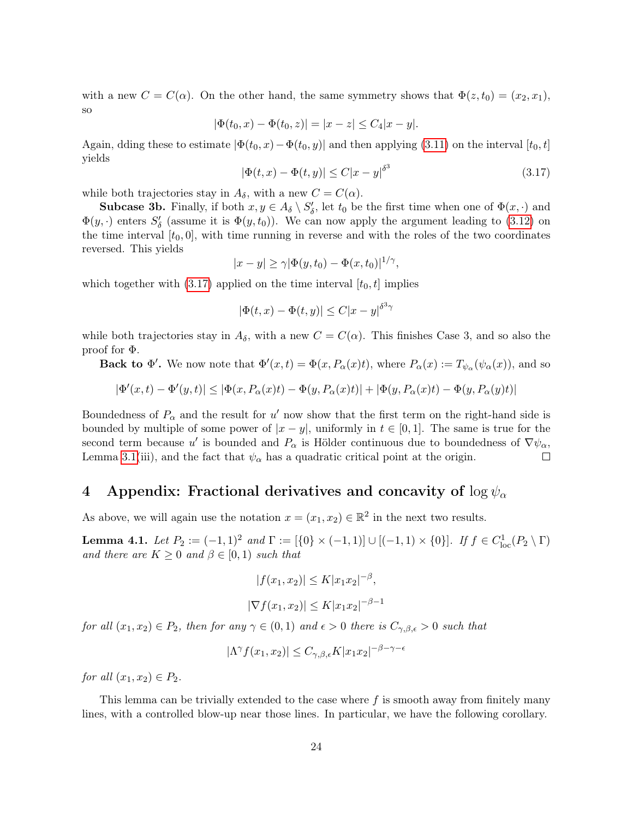with a new  $C = C(\alpha)$ . On the other hand, the same symmetry shows that  $\Phi(z, t_0) = (x_2, x_1)$ , so

$$
|\Phi(t_0, x) - \Phi(t_0, z)| = |x - z| \le C_4 |x - y|.
$$

Again, dding these to estimate  $|\Phi(t_0, x) - \Phi(t_0, y)|$  and then applying [\(3.11\)](#page-21-0) on the interval [t<sub>0</sub>, t] yields

<span id="page-23-0"></span>
$$
|\Phi(t, x) - \Phi(t, y)| \le C|x - y|^{\delta^3}
$$
\n(3.17)

while both trajectories stay in  $A_{\delta}$ , with a new  $C = C(\alpha)$ .

**Subcase 3b.** Finally, if both  $x, y \in A_{\delta} \setminus S'_{\delta}$ , let  $t_0$  be the first time when one of  $\Phi(x, \cdot)$  and  $\Phi(y, \cdot)$  enters  $S'_{\delta}$  (assume it is  $\Phi(y, t_0)$ ). We can now apply the argument leading to [\(3.12\)](#page-21-1) on the time interval  $[t_0, 0]$ , with time running in reverse and with the roles of the two coordinates reversed. This yields

$$
|x-y| \ge \gamma |\Phi(y, t_0) - \Phi(x, t_0)|^{1/\gamma},
$$

which together with  $(3.17)$  applied on the time interval  $[t_0, t]$  implies

$$
|\Phi(t, x) - \Phi(t, y)| \le C|x - y|^{\delta^3 \gamma}
$$

while both trajectories stay in  $A_{\delta}$ , with a new  $C = C(\alpha)$ . This finishes Case 3, and so also the proof for Φ.

**Back to**  $\Phi'$ **.** We now note that  $\Phi'(x,t) = \Phi(x, P_\alpha(x)t)$ , where  $P_\alpha(x) := T_{\psi_\alpha}(\psi_\alpha(x))$ , and so

$$
|\Phi'(x,t)-\Phi'(y,t)|\leq |\Phi(x,P_\alpha(x)t)-\Phi(y,P_\alpha(x)t)|+|\Phi(y,P_\alpha(x)t)-\Phi(y,P_\alpha(y)t)|
$$

Boundedness of  $P_{\alpha}$  and the result for u' now show that the first term on the right-hand side is bounded by multiple of some power of  $|x - y|$ , uniformly in  $t \in [0, 1]$ . The same is true for the second term because u' is bounded and  $P_{\alpha}$  is Hölder continuous due to boundedness of  $\nabla \psi_{\alpha}$ , Lemma [3.1\(](#page-12-0)iii), and the fact that  $\psi_{\alpha}$  has a quadratic critical point at the origin.  $\Box$ 

# 4 Appendix: Fractional derivatives and concavity of  $\log \psi_{\alpha}$

As above, we will again use the notation  $x = (x_1, x_2) \in \mathbb{R}^2$  in the next two results.

<span id="page-23-1"></span>**Lemma 4.1.** Let  $P_2 := (-1,1)^2$  and  $\Gamma := [\{0\} \times (-1,1)] \cup [(-1,1) \times \{0\}]$ . If  $f \in C^1_{loc}(P_2 \setminus \Gamma)$ and there are  $K \geq 0$  and  $\beta \in [0,1)$  such that

$$
|f(x_1, x_2)| \le K |x_1 x_2|^{-\beta},
$$
  

$$
|\nabla f(x_1, x_2)| \le K |x_1 x_2|^{-\beta - 1}
$$

for all  $(x_1, x_2) \in P_2$ , then for any  $\gamma \in (0, 1)$  and  $\epsilon > 0$  there is  $C_{\gamma, \beta, \epsilon} > 0$  such that

$$
|\Lambda^{\gamma}f(x_1, x_2)| \le C_{\gamma, \beta, \epsilon} K |x_1 x_2|^{-\beta - \gamma - \epsilon}
$$

for all  $(x_1, x_2) \in P_2$ .

This lemma can be trivially extended to the case where  $f$  is smooth away from finitely many lines, with a controlled blow-up near those lines. In particular, we have the following corollary.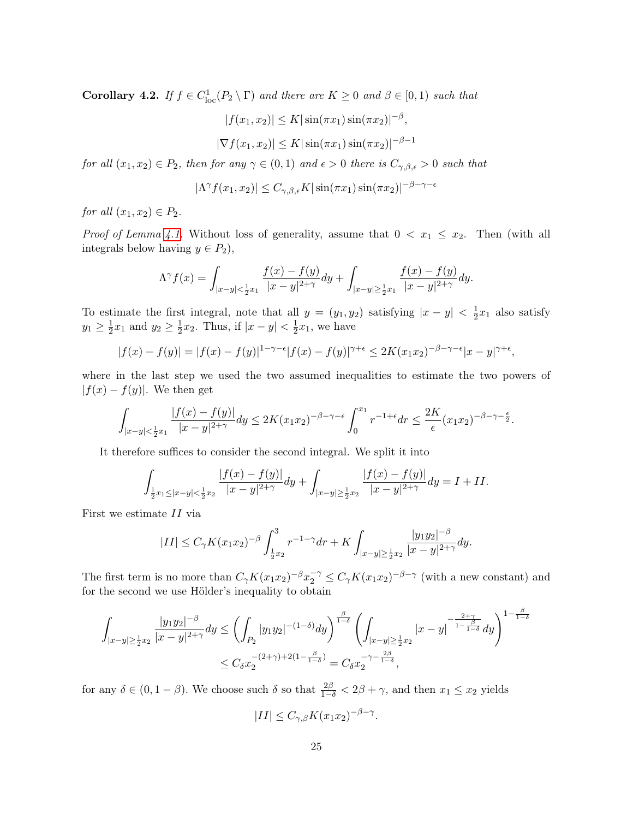<span id="page-24-0"></span>**Corollary 4.2.** If  $f \in C^1_{loc}(P_2 \setminus \Gamma)$  and there are  $K \geq 0$  and  $\beta \in [0,1)$  such that

$$
|f(x_1, x_2)| \le K |\sin(\pi x_1) \sin(\pi x_2)|^{-\beta},
$$
  

$$
|\nabla f(x_1, x_2)| \le K |\sin(\pi x_1) \sin(\pi x_2)|^{-\beta - 1}
$$

for all  $(x_1, x_2) \in P_2$ , then for any  $\gamma \in (0, 1)$  and  $\epsilon > 0$  there is  $C_{\gamma, \beta, \epsilon} > 0$  such that

$$
|\Lambda^{\gamma} f(x_1, x_2)| \le C_{\gamma, \beta, \epsilon} K |\sin(\pi x_1) \sin(\pi x_2)|^{-\beta - \gamma - \epsilon}
$$

for all  $(x_1, x_2) \in P_2$ .

*Proof of Lemma [4.1.](#page-23-1)* Without loss of generality, assume that  $0 < x_1 \le x_2$ . Then (with all integrals below having  $y \in P_2$ ),

$$
\Lambda^{\gamma} f(x) = \int_{|x-y| < \frac{1}{2}x_1} \frac{f(x) - f(y)}{|x-y|^{2+\gamma}} dy + \int_{|x-y| \ge \frac{1}{2}x_1} \frac{f(x) - f(y)}{|x-y|^{2+\gamma}} dy.
$$

To estimate the first integral, note that all  $y = (y_1, y_2)$  satisfying  $|x - y| < \frac{1}{2}$  $\frac{1}{2}x_1$  also satisfy  $y_1 \geq \frac{1}{2}$  $\frac{1}{2}x_1$  and  $y_2 \geq \frac{1}{2}$  $\frac{1}{2}x_2$ . Thus, if  $|x-y| < \frac{1}{2}$  $\frac{1}{2}x_1$ , we have

$$
|f(x)-f(y)| = |f(x)-f(y)|^{1-\gamma-\epsilon}|f(x)-f(y)|^{\gamma+\epsilon} \le 2K(x_1x_2)^{-\beta-\gamma-\epsilon}|x-y|^{\gamma+\epsilon},
$$

where in the last step we used the two assumed inequalities to estimate the two powers of  $|f(x) - f(y)|$ . We then get

$$
\int_{|x-y|<\frac{1}{2}x_1}\frac{|f(x)-f(y)|}{|x-y|^{2+\gamma}}dy\leq 2K(x_1x_2)^{-\beta-\gamma-\epsilon}\int_0^{x_1}r^{-1+\epsilon}dr\leq \frac{2K}{\epsilon}(x_1x_2)^{-\beta-\gamma-\frac{\epsilon}{2}}.
$$

It therefore suffices to consider the second integral. We split it into

$$
\int_{\frac{1}{2}x_1 \leq |x-y| < \frac{1}{2}x_2} \frac{|f(x) - f(y)|}{|x-y|^{2+\gamma}} dy + \int_{|x-y| \geq \frac{1}{2}x_2} \frac{|f(x) - f(y)|}{|x-y|^{2+\gamma}} dy = I + II.
$$

First we estimate II via

$$
|II| \leq C_{\gamma} K(x_1 x_2)^{-\beta} \int_{\frac{1}{2}x_2}^3 r^{-1-\gamma} dr + K \int_{|x-y| \geq \frac{1}{2}x_2} \frac{|y_1 y_2|^{-\beta}}{|x-y|^{2+\gamma}} dy.
$$

The first term is no more than  $C_{\gamma}K(x_1x_2)^{-\beta}x_2^{-\gamma} \leq C_{\gamma}K(x_1x_2)^{-\beta-\gamma}$  (with a new constant) and for the second we use Hölder's inequality to obtain

$$
\int_{|x-y|\geq \frac{1}{2}x_2} \frac{|y_1y_2|^{-\beta}}{|x-y|^{2+\gamma}} dy \leq \left(\int_{P_2} |y_1y_2|^{-(1-\delta)} dy\right)^{\frac{\beta}{1-\delta}} \left(\int_{|x-y|\geq \frac{1}{2}x_2} |x-y|^{-\frac{2+\gamma}{1-\frac{\beta}{1-\delta}}} dy\right)^{1-\frac{\beta}{1-\delta}}
$$
  

$$
\leq C_{\delta} x_2^{-(2+\gamma)+2(1-\frac{\beta}{1-\delta})} = C_{\delta} x_2^{-\gamma-\frac{2\beta}{1-\delta}},
$$

for any  $\delta \in (0, 1 - \beta)$ . We choose such  $\delta$  so that  $\frac{2\beta}{1-\delta} < 2\beta + \gamma$ , and then  $x_1 \le x_2$  yields

$$
|II| \le C_{\gamma,\beta} K(x_1 x_2)^{-\beta-\gamma}.
$$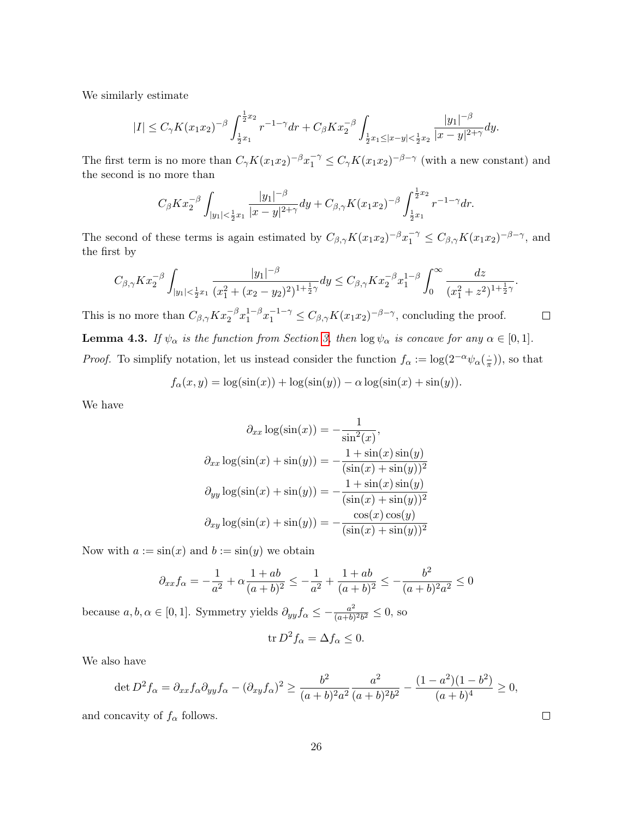We similarly estimate

$$
|I| \leq C_{\gamma} K(x_1 x_2)^{-\beta} \int_{\frac{1}{2}x_1}^{\frac{1}{2}x_2} r^{-1-\gamma} dr + C_{\beta} K x_2^{-\beta} \int_{\frac{1}{2}x_1 \leq |x-y| < \frac{1}{2}x_2} \frac{|y_1|^{-\beta}}{|x-y|^{2+\gamma}} dy.
$$

The first term is no more than  $C_{\gamma}K(x_1x_2)^{-\beta}x_1^{-\gamma} \leq C_{\gamma}K(x_1x_2)^{-\beta-\gamma}$  (with a new constant) and the second is no more than

$$
C_{\beta}Kx_2^{-\beta}\int_{|y_1|<\frac{1}{2}x_1}\frac{|y_1|^{-\beta}}{|x-y|^{2+\gamma}}dy+C_{\beta,\gamma}K(x_1x_2)^{-\beta}\int_{\frac{1}{2}x_1}^{\frac{1}{2}x_2}r^{-1-\gamma}dr.
$$

The second of these terms is again estimated by  $C_{\beta,\gamma}K(x_1x_2)^{-\beta}x_1^{-\gamma} \leq C_{\beta,\gamma}K(x_1x_2)^{-\beta-\gamma}$ , and the first by

$$
C_{\beta,\gamma} K x_2^{-\beta} \int_{|y_1| < \frac{1}{2}x_1} \frac{|y_1|^{-\beta}}{(x_1^2 + (x_2 - y_2)^2)^{1 + \frac{1}{2}\gamma}} dy \le C_{\beta,\gamma} K x_2^{-\beta} x_1^{1-\beta} \int_0^\infty \frac{dz}{(x_1^2 + z^2)^{1 + \frac{1}{2}\gamma}}.
$$

This is no more than  $C_{\beta,\gamma} K x_2^{-\beta} x_1^{1-\beta}$  $\int_1^{1-\beta} x_1^{-1-\gamma} \leq C_{\beta,\gamma} K(x_1 x_2)^{-\beta-\gamma}$ , concluding the proof.  $\Box$ **Lemma 4.3.** If  $\psi_{\alpha}$  is the function from Section [3,](#page-12-1) then  $\log \psi_{\alpha}$  is concave for any  $\alpha \in [0,1]$ . *Proof.* To simplify notation, let us instead consider the function  $f_{\alpha} := \log(2^{-\alpha} \psi_{\alpha}(\frac{1}{\pi}))$  $(\frac{1}{\pi}))$ , so that

$$
f_{\alpha}(x, y) = \log(\sin(x)) + \log(\sin(y)) - \alpha \log(\sin(x) + \sin(y)).
$$

We have

$$
\partial_{xx} \log(\sin(x)) = -\frac{1}{\sin^2(x)},
$$
  

$$
\partial_{xx} \log(\sin(x) + \sin(y)) = -\frac{1 + \sin(x)\sin(y)}{(\sin(x) + \sin(y))^2}
$$
  

$$
\partial_{yy} \log(\sin(x) + \sin(y)) = -\frac{1 + \sin(x)\sin(y)}{(\sin(x) + \sin(y))^2}
$$
  

$$
\partial_{xy} \log(\sin(x) + \sin(y)) = -\frac{\cos(x)\cos(y)}{(\sin(x) + \sin(y))^2}
$$

Now with  $a := \sin(x)$  and  $b := \sin(y)$  we obtain

$$
\partial_{xx} f_{\alpha} = -\frac{1}{a^2} + \alpha \frac{1+ab}{(a+b)^2} \le -\frac{1}{a^2} + \frac{1+ab}{(a+b)^2} \le -\frac{b^2}{(a+b)^2 a^2} \le 0
$$

because  $a, b, \alpha \in [0, 1]$ . Symmetry yields  $\partial_{yy} f_{\alpha} \leq -\frac{a^2}{(a+b)}$  $\frac{a^2}{(a+b)^2b^2} \leq 0$ , so

$$
\operatorname{tr} D^2 f_\alpha = \Delta f_\alpha \le 0.
$$

We also have

$$
\det D^2 f_{\alpha} = \partial_{xx} f_{\alpha} \partial_{yy} f_{\alpha} - (\partial_{xy} f_{\alpha})^2 \ge \frac{b^2}{(a+b)^2 a^2} \frac{a^2}{(a+b)^2 b^2} - \frac{(1-a^2)(1-b^2)}{(a+b)^4} \ge 0,
$$

and concavity of  $f_{\alpha}$  follows.

 $\Box$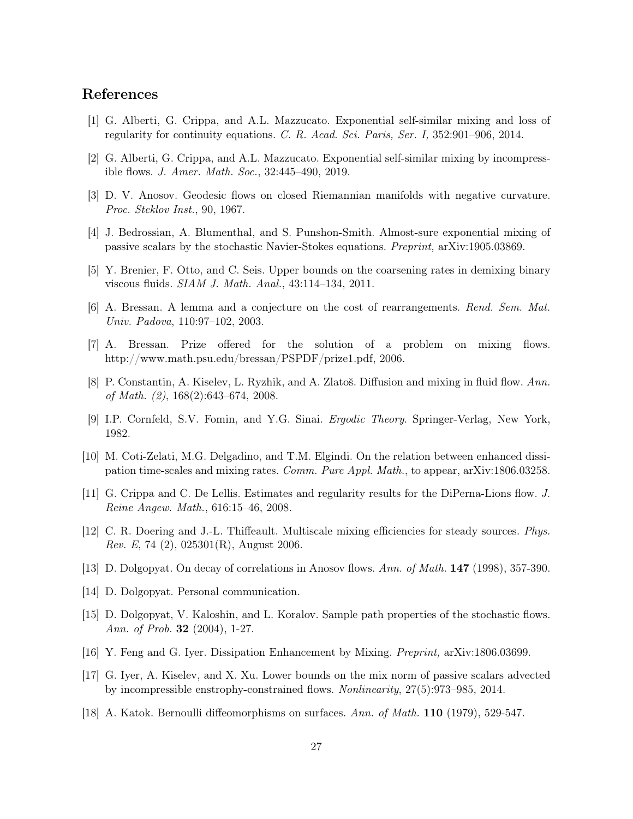## References

- <span id="page-26-9"></span>[1] G. Alberti, G. Crippa, and A.L. Mazzucato. Exponential self-similar mixing and loss of regularity for continuity equations. C. R. Acad. Sci. Paris, Ser. I, 352:901–906, 2014.
- <span id="page-26-3"></span>[2] G. Alberti, G. Crippa, and A.L. Mazzucato. Exponential self-similar mixing by incompressible flows. J. Amer. Math. Soc., 32:445–490, 2019.
- <span id="page-26-12"></span>[3] D. V. Anosov. Geodesic flows on closed Riemannian manifolds with negative curvature. Proc. Steklov Inst., 90, 1967.
- <span id="page-26-17"></span>[4] J. Bedrossian, A. Blumenthal, and S. Punshon-Smith. Almost-sure exponential mixing of passive scalars by the stochastic Navier-Stokes equations. Preprint, arXiv:1905.03869.
- <span id="page-26-5"></span>[5] Y. Brenier, F. Otto, and C. Seis. Upper bounds on the coarsening rates in demixing binary viscous fluids. SIAM J. Math. Anal., 43:114–134, 2011.
- <span id="page-26-2"></span>[6] A. Bressan. A lemma and a conjecture on the cost of rearrangements. Rend. Sem. Mat. Univ. Padova, 110:97–102, 2003.
- <span id="page-26-7"></span>[7] A. Bressan. Prize offered for the solution of a problem on mixing flows. http://www.math.psu.edu/bressan/PSPDF/prize1.pdf, 2006.
- <span id="page-26-0"></span>[8] P. Constantin, A. Kiselev, L. Ryzhik, and A. Zlatoš. Diffusion and mixing in fluid flow. Ann. of Math. (2), 168(2):643–674, 2008.
- <span id="page-26-11"></span>[9] I.P. Cornfeld, S.V. Fomin, and Y.G. Sinai. Ergodic Theory. Springer-Verlag, New York, 1982.
- <span id="page-26-6"></span>[10] M. Coti-Zelati, M.G. Delgadino, and T.M. Elgindi. On the relation between enhanced dissipation time-scales and mixing rates. Comm. Pure Appl. Math., to appear, arXiv:1806.03258.
- <span id="page-26-8"></span>[11] G. Crippa and C. De Lellis. Estimates and regularity results for the DiPerna-Lions flow. J. Reine Angew. Math., 616:15–46, 2008.
- <span id="page-26-1"></span>[12] C. R. Doering and J.-L. Thiffeault. Multiscale mixing efficiencies for steady sources. Phys. Rev. E, 74 (2), 025301(R), August 2006.
- <span id="page-26-13"></span>[13] D. Dolgopyat. On decay of correlations in Anosov flows. Ann. of Math. 147 (1998), 357-390.
- <span id="page-26-15"></span>[14] D. Dolgopyat. Personal communication.
- <span id="page-26-16"></span>[15] D. Dolgopyat, V. Kaloshin, and L. Koralov. Sample path properties of the stochastic flows. Ann. of Prob. 32 (2004), 1-27.
- <span id="page-26-10"></span>[16] Y. Feng and G. Iyer. Dissipation Enhancement by Mixing. Preprint, arXiv:1806.03699.
- <span id="page-26-4"></span>[17] G. Iyer, A. Kiselev, and X. Xu. Lower bounds on the mix norm of passive scalars advected by incompressible enstrophy-constrained flows. Nonlinearity, 27(5):973–985, 2014.
- <span id="page-26-14"></span>[18] A. Katok. Bernoulli diffeomorphisms on surfaces. Ann. of Math. **110** (1979), 529-547.